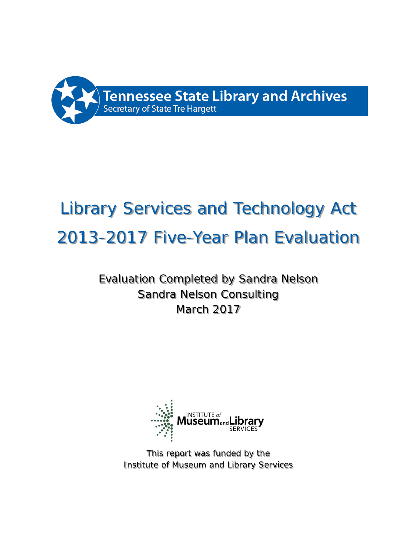

# Library Services and Technology Act 2013-2017 Five-Year Plan Evaluation

# Evaluation Completed by Sandra Nelson Sandra Nelson Consulting March 2017



This report was funded by the Institute of Museum and Library Services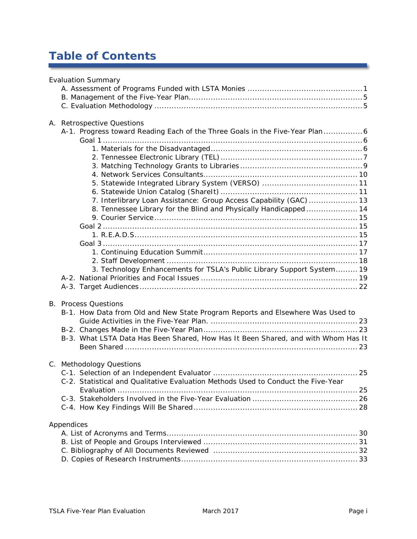# **Table of Contents**

| <b>Evaluation Summary</b>                                                         |
|-----------------------------------------------------------------------------------|
|                                                                                   |
|                                                                                   |
|                                                                                   |
| A. Retrospective Questions                                                        |
| A-1. Progress toward Reading Each of the Three Goals in the Five-Year Plan6       |
|                                                                                   |
|                                                                                   |
|                                                                                   |
|                                                                                   |
|                                                                                   |
|                                                                                   |
|                                                                                   |
| 7. Interlibrary Loan Assistance: Group Access Capability (GAC)  13                |
| 8. Tennessee Library for the Blind and Physically Handicapped  14                 |
|                                                                                   |
|                                                                                   |
|                                                                                   |
|                                                                                   |
|                                                                                   |
| 3. Technology Enhancements for TSLA's Public Library Support System 19            |
|                                                                                   |
|                                                                                   |
|                                                                                   |
| <b>B.</b> Process Questions                                                       |
| B-1. How Data from Old and New State Program Reports and Elsewhere Was Used to    |
|                                                                                   |
|                                                                                   |
| B-3. What LSTA Data Has Been Shared, How Has It Been Shared, and with Whom Has It |
|                                                                                   |
|                                                                                   |
| C. Methodology Questions                                                          |
| C-2. Statistical and Qualitative Evaluation Methods Used to Conduct the Five-Year |
|                                                                                   |
|                                                                                   |
|                                                                                   |
|                                                                                   |
| Appendices                                                                        |
|                                                                                   |
|                                                                                   |
|                                                                                   |
|                                                                                   |

<u> 1989 - Jan Barnett, fransk politiker</u>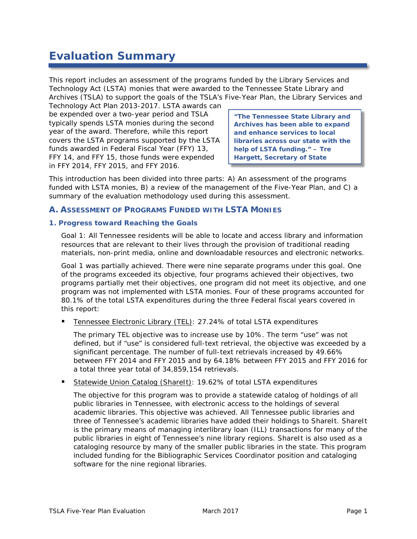# **Evaluation Summary**

This report includes an assessment of the programs funded by the Library Services and Technology Act (LSTA) monies that were awarded to the Tennessee State Library and Archives (TSLA) to support the goals of the TSLA's Five-Year Plan, the *Library Services and* 

*Technology Act Plan 2013-2017*. LSTA awards can be expended over a two-year period and TSLA typically spends LSTA monies during the second year of the award. Therefore, while this report covers the LSTA programs supported by the LSTA funds awarded in Federal Fiscal Year (FFY) 13, FFY 14, and FFY 15, those funds were expended in FFY 2014, FFY 2015, and FFY 2016.

**"The Tennessee State Library and Archives has been able to expand and enhance services to local libraries across our state with the help of LSTA funding." – Tre Hargett, Secretary of State**

This introduction has been divided into three parts: A) An assessment of the programs funded with LSTA monies, B) a review of the management of the Five-Year Plan, and C) a summary of the evaluation methodology used during this assessment.

#### **A. ASSESSMENT OF PROGRAMS FUNDED WITH LSTA MONIES**

#### **1. Progress toward Reaching the Goals**

*Goal 1: All Tennessee residents will be able to locate and access library and information resources that are relevant to their lives through the provision of traditional reading materials, non-print media, online and downloadable resources and electronic networks.*

Goal 1 was partially achieved. There were nine separate programs under this goal. One of the programs exceeded its objective, four programs achieved their objectives, two programs partially met their objectives, one program did not meet its objective, and one program was not implemented with LSTA monies. Four of these programs accounted for 80.1% of the total LSTA expenditures during the three Federal fiscal years covered in this report:

Tennessee Electronic Library (TEL): 27.24% of total LSTA expenditures

The primary TEL objective was to increase use by 10%. The term "use" was not defined, but if "use" is considered full-text retrieval, the objective was exceeded by a significant percentage. The number of full-text retrievals increased by 49.66% between FFY 2014 and FFY 2015 and by 64.18% between FFY 2015 and FFY 2016 for a total three year total of 34,859,154 retrievals.

Statewide Union Catalog (ShareIt): 19.62% of total LSTA expenditures

The objective for this program was to provide a statewide catalog of holdings of all public libraries in Tennessee, with electronic access to the holdings of several academic libraries. This objective was achieved. All Tennessee public libraries and three of Tennessee's academic libraries have added their holdings to ShareIt. ShareIt is the primary means of managing interlibrary loan (ILL) transactions for many of the public libraries in eight of Tennessee's nine library regions. ShareIt is also used as a cataloging resource by many of the smaller public libraries in the state. This program included funding for the Bibliographic Services Coordinator position and cataloging software for the nine regional libraries.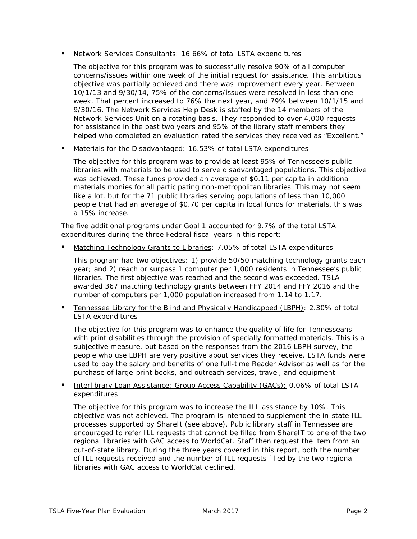#### Network Services Consultants: 16.66% of total LSTA expenditures

The objective for this program was to successfully resolve 90% of all computer concerns/issues within one week of the initial request for assistance. This ambitious objective was partially achieved and there was improvement every year. Between 10/1/13 and 9/30/14, 75% of the concerns/issues were resolved in less than one week. That percent increased to 76% the next year, and 79% between 10/1/15 and 9/30/16. The Network Services Help Desk is staffed by the 14 members of the Network Services Unit on a rotating basis. They responded to over 4,000 requests for assistance in the past two years and 95% of the library staff members they helped who completed an evaluation rated the services they received as "Excellent."

Materials for the Disadvantaged: 16.53% of total LSTA expenditures

The objective for this program was to provide at least 95% of Tennessee's public libraries with materials to be used to serve disadvantaged populations. This objective was achieved. These funds provided an average of \$0.11 per capita in additional materials monies for all participating non-metropolitan libraries. This may not seem like a lot, but for the 71 public libraries serving populations of less than 10,000 people that had an average of \$0.70 per capita in local funds for materials, this was a 15% increase.

The five additional programs under Goal 1 accounted for 9.7% of the total LSTA expenditures during the three Federal fiscal years in this report:

Matching Technology Grants to Libraries: 7.05% of total LSTA expenditures

This program had two objectives: 1) provide 50/50 matching technology grants each year; and 2) reach or surpass 1 computer per 1,000 residents in Tennessee's public libraries. The first objective was reached and the second was exceeded. TSLA awarded 367 matching technology grants between FFY 2014 and FFY 2016 and the number of computers per 1,000 population increased from 1.14 to 1.17.

 Tennessee Library for the Blind and Physically Handicapped (LBPH): 2.30% of total LSTA expenditures

The objective for this program was to enhance the quality of life for Tennesseans with print disabilities through the provision of specially formatted materials. This is a subjective measure, but based on the responses from the 2016 LBPH survey, the people who use LBPH are very positive about services they receive. LSTA funds were used to pay the salary and benefits of one full-time Reader Advisor as well as for the purchase of large-print books, and outreach services, travel, and equipment.

Interlibrary Loan Assistance: Group Access Capability (GACs): 0.06% of total LSTA expenditures

The objective for this program was to increase the ILL assistance by 10%. This objective was not achieved. The program is intended to supplement the in-state ILL processes supported by ShareIt (see above). Public library staff in Tennessee are encouraged to refer ILL requests that cannot be filled from ShareIT to one of the two regional libraries with GAC access to WorldCat. Staff then request the item from an out-of-state library. During the three years covered in this report, both the number of ILL requests received and the number of ILL requests filled by the two regional libraries with GAC access to WorldCat declined.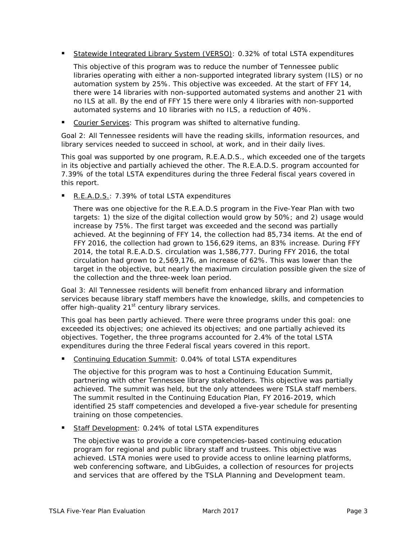Statewide Integrated Library System (VERSO): 0.32% of total LSTA expenditures

This objective of this program was to reduce the number of Tennessee public libraries operating with either a non-supported integrated library system (ILS) or no automation system by 25%. This objective was exceeded. At the start of FFY 14, there were 14 libraries with non-supported automated systems and another 21 with no ILS at all. By the end of FFY 15 there were only 4 libraries with non-supported automated systems and 10 libraries with no ILS, a reduction of 40%.

Courier Services: This program was shifted to alternative funding.

*Goal 2: All Tennessee residents will have the reading skills, information resources, and library services needed to succeed in school, at work, and in their daily lives.*

This goal was supported by one program, R.E.A.D.S., which exceeded one of the targets in its objective and partially achieved the other. The R.E.A.D.S. program accounted for 7.39% of the total LSTA expenditures during the three Federal fiscal years covered in this report.

R.E.A.D.S.: 7.39% of total LSTA expenditures

There was one objective for the R.E.A.D.S program in the Five-Year Plan with two targets: 1) the size of the digital collection would grow by 50%; and 2) usage would increase by 75%. The first target was exceeded and the second was partially achieved. At the beginning of FFY 14, the collection had 85,734 items. At the end of FFY 2016, the collection had grown to 156,629 items, an 83% increase. During FFY 2014, the total R.E.A.D.S. circulation was 1,586,777. During FFY 2016, the total circulation had grown to 2,569,176, an increase of 62%. This was lower than the target in the objective, but nearly the maximum circulation possible given the size of the collection and the three-week loan period.

#### *Goal 3: All Tennessee residents will benefit from enhanced library and information services because library staff members have the knowledge, skills, and competencies to offer high-quality 21st century library services.*

This goal has been partly achieved. There were three programs under this goal: one exceeded its objectives; one achieved its objectives; and one partially achieved its objectives. Together, the three programs accounted for 2.4% of the total LSTA expenditures during the three Federal fiscal years covered in this report.

Continuing Education Summit: 0.04% of total LSTA expenditures

The objective for this program was to host a Continuing Education Summit, partnering with other Tennessee library stakeholders. This objective was partially achieved. The summit was held, but the only attendees were TSLA staff members. The summit resulted in the *Continuing Education Plan, FY 2016-2019*, which identified 25 staff competencies and developed a five-year schedule for presenting training on those competencies.

Staff Development: 0.24% of total LSTA expenditures

The objective was to provide a core competencies-based continuing education program for regional and public library staff and trustees. This objective was achieved. LSTA monies were used to provide access to online learning platforms, web conferencing software, and LibGuides, a collection of resources for projects and services that are offered by the TSLA Planning and Development team.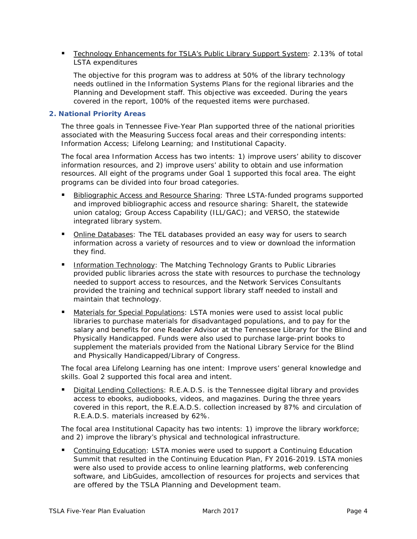Technology Enhancements for TSLA's Public Library Support System: 2.13% of total LSTA expenditures

The objective for this program was to address at 50% of the library technology needs outlined in the Information Systems Plans for the regional libraries and the Planning and Development staff. This objective was exceeded. During the years covered in the report, 100% of the requested items were purchased.

#### **2. National Priority Areas**

The three goals in Tennessee Five-Year Plan supported three of the national priorities associated with the Measuring Success focal areas and their corresponding intents: Information Access; Lifelong Learning; and Institutional Capacity.

The focal area *Information Access* has two intents: 1) improve users' ability to discover information resources, and 2) improve users' ability to obtain and use information resources. All eight of the programs under Goal 1 supported this focal area. The eight programs can be divided into four broad categories.

- Bibliographic Access and Resource Sharing: Three LSTA-funded programs supported and improved bibliographic access and resource sharing: ShareIt, the statewide union catalog; Group Access Capability (ILL/GAC); and VERSO, the statewide integrated library system.
- **Diamage Databases:** The TEL databases provided an easy way for users to search information across a variety of resources and to view or download the information they find.
- Information Technology: The Matching Technology Grants to Public Libraries provided public libraries across the state with resources to purchase the technology needed to support access to resources, and the Network Services Consultants provided the training and technical support library staff needed to install and maintain that technology.
- Materials for Special Populations: LSTA monies were used to assist local public libraries to purchase materials for disadvantaged populations, and to pay for the salary and benefits for one Reader Advisor at the Tennessee Library for the Blind and Physically Handicapped. Funds were also used to purchase large-print books to supplement the materials provided from the National Library Service for the Blind and Physically Handicapped/Library of Congress.

The focal area *Lifelong Learning* has one intent: Improve users' general knowledge and skills. Goal 2 supported this focal area and intent.

 Digital Lending Collections: R.E.A.D.S. is the Tennessee digital library and provides access to ebooks, audiobooks, videos, and magazines. During the three years covered in this report, the R.E.A.D.S. collection increased by 87% and circulation of R.E.A.D.S. materials increased by 62%.

The focal area *Institutional Capacity* has two intents: 1) improve the library workforce; and 2) improve the library's physical and technological infrastructure.

**Continuing Education: LSTA monies were used to support a Continuing Education** Summit that resulted in the *Continuing Education Plan, FY 2016-2019.* LSTA monies were also used to provide access to online learning platforms, web conferencing software, and LibGuides, amcollection of resources for projects and services that are offered by the TSLA Planning and Development team.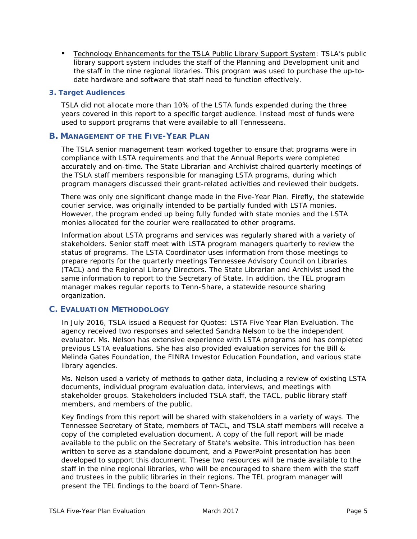Technology Enhancements for the TSLA Public Library Support System: TSLA's public library support system includes the staff of the Planning and Development unit and the staff in the nine regional libraries. This program was used to purchase the up-todate hardware and software that staff need to function effectively.

#### **3. Target Audiences**

TSLA did not allocate more than 10% of the LSTA funds expended during the three years covered in this report to a specific target audience. Instead most of funds were used to support programs that were available to all Tennesseans.

#### **B. MANAGEMENT OF THE FIVE-YEAR PLAN**

The TSLA senior management team worked together to ensure that programs were in compliance with LSTA requirements and that the Annual Reports were completed accurately and on-time. The State Librarian and Archivist chaired quarterly meetings of the TSLA staff members responsible for managing LSTA programs, during which program managers discussed their grant-related activities and reviewed their budgets.

There was only one significant change made in the Five-Year Plan. Firefly, the statewide courier service, was originally intended to be partially funded with LSTA monies. However, the program ended up being fully funded with state monies and the LSTA monies allocated for the courier were reallocated to other programs.

Information about LSTA programs and services was regularly shared with a variety of stakeholders. Senior staff meet with LSTA program managers quarterly to review the status of programs. The LSTA Coordinator uses information from those meetings to prepare reports for the quarterly meetings Tennessee Advisory Council on Libraries (TACL) and the Regional Library Directors. The State Librarian and Archivist used the same information to report to the Secretary of State. In addition, the TEL program manager makes regular reports to Tenn-Share, a statewide resource sharing organization.

#### **C. EVALUATION METHODOLOGY**

In July 2016, TSLA issued a *Request for Quotes: LSTA Five Year Plan Evaluation.* The agency received two responses and selected Sandra Nelson to be the independent evaluator. Ms. Nelson has extensive experience with LSTA programs and has completed previous LSTA evaluations. She has also provided evaluation services for the Bill & Melinda Gates Foundation, the FINRA Investor Education Foundation, and various state library agencies.

Ms. Nelson used a variety of methods to gather data, including a review of existing LSTA documents, individual program evaluation data, interviews, and meetings with stakeholder groups. Stakeholders included TSLA staff, the TACL, public library staff members, and members of the public.

Key findings from this report will be shared with stakeholders in a variety of ways. The Tennessee Secretary of State, members of TACL, and TSLA staff members will receive a copy of the completed evaluation document. A copy of the full report will be made available to the public on the Secretary of State's website. This introduction has been written to serve as a standalone document, and a PowerPoint presentation has been developed to support this document. These two resources will be made available to the staff in the nine regional libraries, who will be encouraged to share them with the staff and trustees in the public libraries in their regions. The TEL program manager will present the TEL findings to the board of Tenn-Share.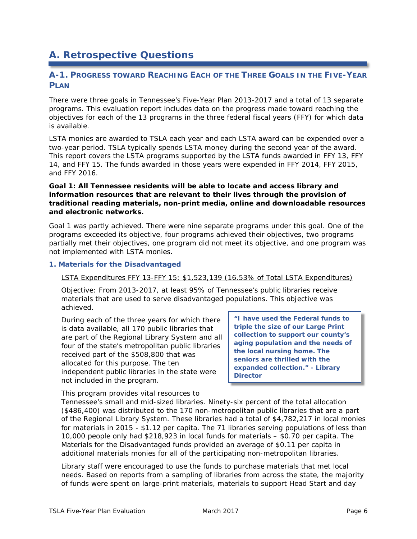# **A. Retrospective Questions**

#### **A-1. PROGRESS TOWARD REACHING EACH OF THE THREE GOALS IN THE FIVE-YEAR PLAN**

There were three goals in Tennessee's *Five-Year Plan 2013-2017* and a total of 13 separate programs. This evaluation report includes data on the progress made toward reaching the objectives for each of the 13 programs in the three federal fiscal years (FFY) for which data is available.

LSTA monies are awarded to TSLA each year and each LSTA award can be expended over a two-year period. TSLA typically spends LSTA money during the second year of the award. This report covers the LSTA programs supported by the LSTA funds awarded in FFY 13, FFY 14, and FFY 15. The funds awarded in those years were expended in FFY 2014, FFY 2015, and FFY 2016.

#### **Goal 1: All Tennessee residents will be able to locate and access library and information resources that are relevant to their lives through the provision of traditional reading materials, non-print media, online and downloadable resources and electronic networks.**

Goal 1 was partly achieved. There were nine separate programs under this goal. One of the programs exceeded its objective, four programs achieved their objectives, two programs partially met their objectives, one program did not meet its objective, and one program was not implemented with LSTA monies.

#### **1. Materials for the Disadvantaged**

#### LSTA Expenditures FFY 13-FFY 15: \$1,523,139 (16.53% of Total LSTA Expenditures)

Objective: From 2013-2017, at least 95% of Tennessee's public libraries receive materials that are used to serve disadvantaged populations. *This objective was achieved.*

During each of the three years for which there is data available, all 170 public libraries that are part of the Regional Library System and all four of the state's metropolitan public libraries received part of the \$508,800 that was allocated for this purpose. The ten independent public libraries in the state were not included in the program.

**"I have used the Federal funds to triple the size of our Large Print collection to support our county's aging population and the needs of the local nursing home. The seniors are thrilled with the expanded collection." - Library Director**

This program provides vital resources to

Tennessee's small and mid-sized libraries. Ninety-six percent of the total allocation (\$486,400) was distributed to the 170 non-metropolitan public libraries that are a part of the Regional Library System. These libraries had a total of \$4,782,217 in local monies for materials in 2015 - \$1.12 per capita. The 71 libraries serving populations of less than 10,000 people only had \$218,923 in local funds for materials – \$0.70 per capita. The *Materials for the Disadvantaged* funds provided an average of \$0.11 per capita in additional materials monies for all of the participating non-metropolitan libraries.

Library staff were encouraged to use the funds to purchase materials that met local needs. Based on reports from a sampling of libraries from across the state, the majority of funds were spent on large-print materials, materials to support Head Start and day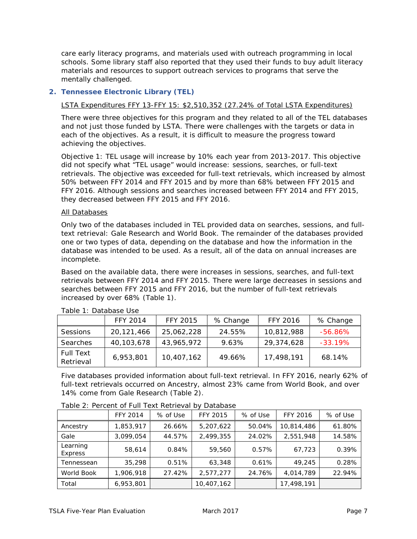care early literacy programs, and materials used with outreach programming in local schools. Some library staff also reported that they used their funds to buy adult literacy materials and resources to support outreach services to programs that serve the mentally challenged.

#### **2. Tennessee Electronic Library (TEL)**

#### LSTA Expenditures FFY 13-FFY 15: \$2,510,352 (27.24% of Total LSTA Expenditures)

There were three objectives for this program and they related to all of the TEL databases and not just those funded by LSTA. There were challenges with the targets or data in each of the objectives. As a result, it is difficult to measure the progress toward achieving the objectives.

Objective 1: TEL usage will increase by 10% each year from 2013-2017. This objective did not specify what "TEL usage" would increase: sessions, searches, or full-text retrievals. *The objective was exceeded for full-text retrievals, which increased by almost 50% between FFY 2014 and FFY 2015 and by more than 68% between FFY 2015 and FFY 2016. Although sessions and searches increased between FFY 2014 and FFY 2015, they decreased between FFY 2015 and FFY 2016.*

#### All Databases

Only two of the databases included in TEL provided data on searches, sessions, and fulltext retrieval: Gale Research and World Book. The remainder of the databases provided one or two types of data, depending on the database and how the information in the database was intended to be used. As a result, all of the data on annual increases are incomplete.

Based on the available data, there were increases in sessions, searches, and full-text retrievals between FFY 2014 and FFY 2015. There were large decreases in sessions and searches between FFY 2015 and FFY 2016, but the number of full-text retrievals increased by over 68% (Table 1).

|                               | <b>FFY 2014</b> | <b>FFY 2015</b> | % Change | <b>FFY 2016</b> | % Change   |  |  |
|-------------------------------|-----------------|-----------------|----------|-----------------|------------|--|--|
| Sessions                      | 20,121,466      | 25,062,228      | 24.55%   | 10,812,988      | $-56.86\%$ |  |  |
| Searches                      | 40,103,678      | 43,965,972      | 9.63%    | 29.374.628      | $-33.19\%$ |  |  |
| <b>Full Text</b><br>Retrieval | 6,953,801       | 10,407,162      | 49.66%   | 17,498,191      | 68.14%     |  |  |

Table 1: Database Use

Five databases provided information about full-text retrieval. In FFY 2016, nearly 62% of full-text retrievals occurred on Ancestry, almost 23% came from World Book, and over 14% come from Gale Research (Table 2).

|                            | <b>FFY 2014</b> | % of Use | <b>FFY 2015</b> | % of Use | FFY 2016   | % of Use |
|----------------------------|-----------------|----------|-----------------|----------|------------|----------|
| Ancestry                   | 1,853,917       | 26.66%   | 5,207,622       | 50.04%   | 10,814,486 | 61.80%   |
| Gale                       | 3,099,054       | 44.57%   | 2,499,355       | 24.02%   | 2,551,948  | 14.58%   |
| Learning<br><b>Express</b> | 58,614          | 0.84%    | 59,560          | 0.57%    | 67,723     | 0.39%    |
| Tennessean                 | 35,298          | 0.51%    | 63,348          | 0.61%    | 49,245     | 0.28%    |
| World Book                 | 1.906.918       | 27.42%   | 2,577,277       | 24.76%   | 4,014,789  | 22.94%   |
| Total                      | 6,953,801       |          | 10,407,162      |          | 17,498,191 |          |

Table 2: Percent of Full Text Retrieval by Database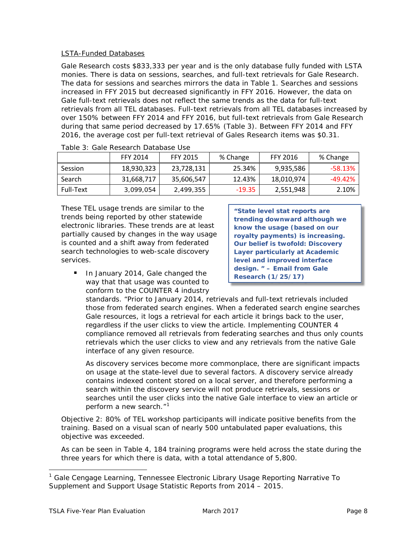#### LSTA-Funded Databases

Gale Research costs \$833,333 per year and is the only database fully funded with LSTA monies. There is data on sessions, searches, and full-text retrievals for Gale Research. The data for sessions and searches mirrors the data in Table 1. Searches and sessions increased in FFY 2015 but decreased significantly in FFY 2016. However, the data on Gale full-text retrievals does not reflect the same trends as the data for full-text retrievals from all TEL databases. Full-text retrievals from all TEL databases increased by over 150% between FFY 2014 and FFY 2016, but full-text retrievals from Gale Research during that same period decreased by 17.65% (Table 3). Between FFY 2014 and FFY 2016, the average cost per full-text retrieval of Gales Research items was \$0.31.

|           | <b>FFY 2014</b> | <b>FFY 2015</b> | % Change | <b>FFY 2016</b> | % Change   |
|-----------|-----------------|-----------------|----------|-----------------|------------|
| Session   | 18,930,323      | 23,728,131      | 25.34%   | 9,935,586       | $-58.13\%$ |
| Search    | 31,668,717      | 35,606,547      | 12.43%   | 18,010,974      | $-49.42%$  |
| Full-Text | 3,099,054       | 2,499,355       | $-19.35$ | 2,551,948       | 2.10%      |

|  |  | Table 3: Gale Research Database Use |  |
|--|--|-------------------------------------|--|
|  |  |                                     |  |

These TEL usage trends are similar to the trends being reported by other statewide electronic libraries. These trends are at least partially caused by changes in the way usage is counted and a shift away from federated search technologies to web-scale discovery services.

**"State level stat reports are trending downward although we know the usage (based on our royalty payments) is increasing. Our belief is twofold: Discovery Layer particularly at Academic level and improved interface design. " – Email from Gale Research (1/25/17)**

 In January 2014, Gale changed the way that that usage was counted to conform to the COUNTER 4 industry

standards. "Prior to January 2014, retrievals and full-text retrievals included those from federated search engines. When a federated search engine searches Gale resources, it logs a retrieval for each article it brings back to the user, regardless if the user clicks to view the article. Implementing COUNTER 4 compliance removed all retrievals from federating searches and thus only counts retrievals which the user clicks to view and any retrievals from the native Gale interface of any given resource.

As discovery services become more commonplace, there are significant impacts on usage at the state-level due to several factors. A discovery service already contains indexed content stored on a local server, and therefore performing a search within the discovery service will not produce retrievals, sessions or searches until the user clicks into the native Gale interface to view an article or perform a new search."<sup>[1](#page-9-0)</sup>

Objective 2: 80% of TEL workshop participants will indicate positive benefits from the training*. Based on a visual scan of nearly 500 untabulated paper evaluations, this objective was exceeded.*

As can be seen in Table 4, 184 training programs were held across the state during the three years for which there is data, with a total attendance of 5,800.

<span id="page-9-0"></span> <sup>1</sup> Gale Cengage Learning, *Tennessee Electronic Library Usage Reporting Narrative To Supplement and Support Usage Statistic Reports from 2014 – 2015.*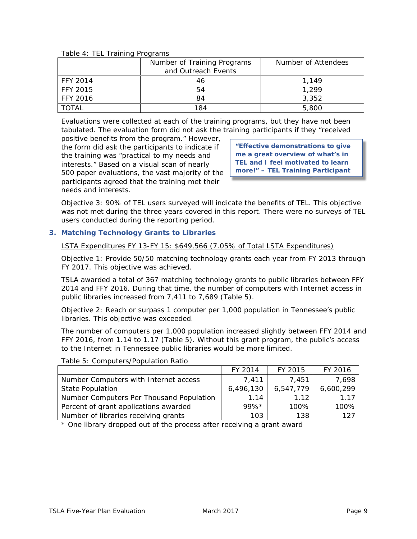|                 | Number of Training Programs | Number of Attendees |
|-----------------|-----------------------------|---------------------|
|                 | and Outreach Events         |                     |
| <b>FFY 2014</b> | 46                          | 1.149               |
| FFY 2015        | 54                          | 1.299               |
| <b>FFY 2016</b> | 84                          | 3,352               |
| TOTAI           | 184                         | 5,800               |

#### Table 4: TEL Training Programs

Evaluations were collected at each of the training programs, but they have not been tabulated. The evaluation form did not ask the training participants if they "received

positive benefits from the program." However, the form did ask the participants to indicate if the training was "practical to my needs and interests." Based on a visual scan of nearly 500 paper evaluations, the vast majority of the participants agreed that the training met their needs and interests.

**"Effective demonstrations to give me a great overview of what's in TEL and I feel motivated to learn more!" – TEL Training Participant**

Objective 3: 90% of TEL users surveyed will indicate the benefits of TEL. *This objective was not met during the three years covered in this report. There were no surveys of TEL users conducted during the reporting period*.

#### **3. Matching Technology Grants to Libraries**

LSTA Expenditures FY 13-FY 15: \$649,566 (7.05% of Total LSTA Expenditures)

Objective 1: Provide 50/50 matching technology grants each year from FY 2013 through FY 2017. *This objective was achieved.* 

TSLA awarded a total of 367 matching technology grants to public libraries between FFY 2014 and FFY 2016. During that time, the number of computers with Internet access in public libraries increased from 7,411 to 7,689 (Table 5).

Objective 2: Reach or surpass 1 computer per 1,000 population in Tennessee's public libraries. *This objective was exceeded.* 

The number of computers per 1,000 population increased slightly between FFY 2014 and FFY 2016, from 1.14 to 1.17 (Table 5). Without this grant program, the public's access to the Internet in Tennessee public libraries would be more limited.

|                                          | FY 2014   | FY 2015   | FY 2016   |
|------------------------------------------|-----------|-----------|-----------|
| Number Computers with Internet access    | 7,411     | 7.451     | 7,698     |
| <b>State Population</b>                  | 6,496,130 | 6,547,779 | 6,600,299 |
| Number Computers Per Thousand Population | 1.14      | 1 1 2     | 1.17      |
| Percent of grant applications awarded    | $99\%*$   | 100%      | 100%      |
| Number of libraries receiving grants     | 103       | 138       | 127       |

#### Table 5: Computers/Population Ratio

\* One library dropped out of the process after receiving a grant award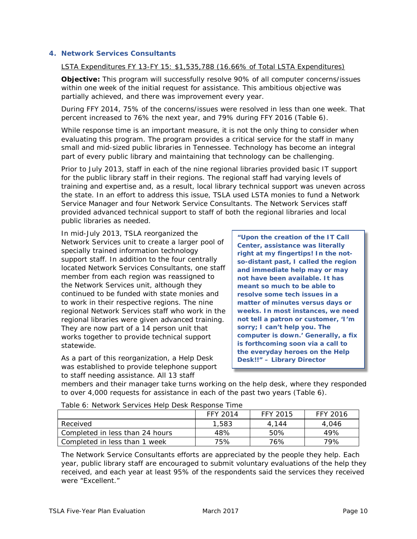#### **4. Network Services Consultants**

LSTA Expenditures FY 13-FY 15: \$1,535,788 (16.66% of Total LSTA Expenditures)

**Objective:** This program will successfully resolve 90% of all computer concerns/issues within one week of the initial request for assistance. *This ambitious objective was partially achieved, and there was improvement every year.*

During FFY 2014, 75% of the concerns/issues were resolved in less than one week. That percent increased to 76% the next year, and 79% during FFY 2016 (Table 6).

While response time is an important measure, it is not the only thing to consider when evaluating this program. The program provides a critical service for the staff in many small and mid-sized public libraries in Tennessee. Technology has become an integral part of every public library and maintaining that technology can be challenging.

Prior to July 2013, staff in each of the nine regional libraries provided basic IT support for the public library staff in their regions. The regional staff had varying levels of training and expertise and, as a result, local library technical support was uneven across the state. In an effort to address this issue, TSLA used LSTA monies to fund a Network Service Manager and four Network Service Consultants. The Network Services staff provided advanced technical support to staff of both the regional libraries and local public libraries as needed.

In mid-July 2013, TSLA reorganized the Network Services unit to create a larger pool of specially trained information technology support staff. In addition to the four centrally located Network Services Consultants, one staff member from each region was reassigned to the Network Services unit, although they continued to be funded with state monies and to work in their respective regions. The nine regional Network Services staff who work in the regional libraries were given advanced training. They are now part of a 14 person unit that works together to provide technical support statewide.

As a part of this reorganization, a Help Desk was established to provide telephone support to staff needing assistance. All 13 staff

**"Upon the creation of the IT Call Center, assistance was literally right at my fingertips! In the notso-distant past, I called the region and immediate help may or may not have been available. It has meant so much to be able to resolve some tech issues in a matter of minutes versus days or weeks. In most instances, we need not tell a patron or customer, 'I'm sorry; I can't help you. The computer is down.' Generally, a fix is forthcoming soon via a call to the everyday heroes on the Help Desk!!" – Library Director**

members and their manager take turns working on the help desk, where they responded to over 4,000 requests for assistance in each of the past two years (Table 6).

| Table 6: Network Services Help Desk Response Time |  |
|---------------------------------------------------|--|
|---------------------------------------------------|--|

|                                 | FFY 2014 | FFY 2015 | FFY 2016 |  |  |  |  |
|---------------------------------|----------|----------|----------|--|--|--|--|
| Received                        | 1,583    | 4.144    | 4.046    |  |  |  |  |
| Completed in less than 24 hours | 48%      | 50%      | 49%      |  |  |  |  |
| Completed in less than 1 week   | 75%      | 76%      | 79%      |  |  |  |  |

The Network Service Consultants efforts are appreciated by the people they help. Each year, public library staff are encouraged to submit voluntary evaluations of the help they received, and each year at least 95% of the respondents said the services they received were "Excellent."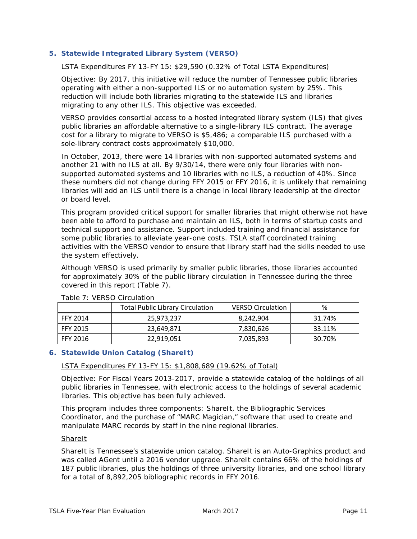#### **5. Statewide Integrated Library System (VERSO)**

#### LSTA Expenditures FY 13-FY 15: \$29,590 (0.32% of Total LSTA Expenditures)

Objective: By 2017, this initiative will reduce the number of Tennessee public libraries operating with either a non-supported ILS or no automation system by 25%. This reduction will include both libraries migrating to the statewide ILS and libraries migrating to any other ILS. *This objective was exceeded*.

VERSO provides consortial access to a hosted integrated library system (ILS) that gives public libraries an affordable alternative to a single-library ILS contract. The average cost for a library to migrate to VERSO is \$5,486; a comparable ILS purchased with a sole-library contract costs approximately \$10,000.

In October, 2013, there were 14 libraries with non-supported automated systems and another 21 with no ILS at all. By 9/30/14, there were only four libraries with nonsupported automated systems and 10 libraries with no ILS, a reduction of 40%. Since these numbers did not change during FFY 2015 or FFY 2016, it is unlikely that remaining libraries will add an ILS until there is a change in local library leadership at the director or board level.

This program provided critical support for smaller libraries that might otherwise not have been able to afford to purchase and maintain an ILS, both in terms of startup costs and technical support and assistance. Support included training and financial assistance for some public libraries to alleviate year-one costs. TSLA staff coordinated training activities with the VERSO vendor to ensure that library staff had the skills needed to use the system effectively.

Although VERSO is used primarily by smaller public libraries, those libraries accounted for approximately 30% of the public library circulation in Tennessee during the three covered in this report (Table 7).

|                 | <b>Total Public Library Circulation</b> | <b>VERSO Circulation</b> | %      |
|-----------------|-----------------------------------------|--------------------------|--------|
| <b>FFY 2014</b> | 25,973,237                              | 8,242,904                | 31.74% |
| <b>FFY 2015</b> | 23,649,871                              | 7,830,626                | 33.11% |
| <b>FFY 2016</b> | 22,919,051                              | 7,035,893                | 30.70% |

#### Table 7: VERSO Circulation

#### **6. Statewide Union Catalog (ShareIt)**

#### LSTA Expenditures FY 13-FY 15: \$1,808,689 (19.62% of Total)

Objective: For Fiscal Years 2013-2017, provide a statewide catalog of the holdings of all public libraries in Tennessee, with electronic access to the holdings of several academic libraries. *This objective has been fully achieved.*

This program includes three components: ShareIt, the Bibliographic Services Coordinator, and the purchase of "MARC Magician," software that used to create and manipulate MARC records by staff in the nine regional libraries.

#### **ShareIt**

ShareIt is Tennessee's statewide union catalog. ShareIt is an Auto-Graphics product and was called AGent until a 2016 vendor upgrade. ShareIt contains 66% of the holdings of 187 public libraries, plus the holdings of three university libraries, and one school library for a total of 8,892,205 bibliographic records in FFY 2016.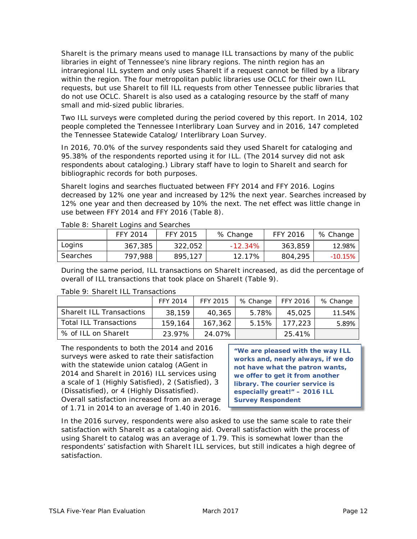ShareIt is the primary means used to manage ILL transactions by many of the public libraries in eight of Tennessee's nine library regions. The ninth region has an intraregional ILL system and only uses ShareIt if a request cannot be filled by a library within the region. The four metropolitan public libraries use OCLC for their own ILL requests, but use ShareIt to fill ILL requests from other Tennessee public libraries that do not use OCLC. ShareIt is also used as a cataloging resource by the staff of many small and mid-sized public libraries.

Two ILL surveys were completed during the period covered by this report. In 2014, 102 people completed the *Tennessee Interlibrary Loan Survey* and in 2016, 147 completed the *Tennessee Statewide Catalog/ Interlibrary Loan Survey.* 

In 2016, 70.0% of the survey respondents said they used ShareIt for cataloging and 95.38% of the respondents reported using it for ILL. (The 2014 survey did not ask respondents about cataloging.) Library staff have to login to ShareIt and search for bibliographic records for both purposes.

ShareIt logins and searches fluctuated between FFY 2014 and FFY 2016. Logins decreased by 12% one year and increased by 12% the next year. Searches increased by 12% one year and then decreased by 10% the next. The net effect was little change in use between FFY 2014 and FFY 2016 (Table 8).

|          | FFY 2014 | FFY 2015 | % Change   | FFY 2016 | % Change |  |
|----------|----------|----------|------------|----------|----------|--|
| Logins   | 367,385  | 322.052  | $-12.34\%$ | 363.859  | 12.98%   |  |
| Searches | 797.988  | 895.127  | 12.17%     | 804,295  | -10.15%  |  |

Table 8: ShareIt Logins and Searches

During the same period, ILL transactions on ShareIt increased, as did the percentage of overall of ILL transactions that took place on ShareIt (Table 9).

|                                 | FFY 2014 | FFY 2015 | % Change | FFY 2016        | % Change |
|---------------------------------|----------|----------|----------|-----------------|----------|
| <b>Sharelt ILL Transactions</b> | 38.159   | 40.365   | 5.78%    | 45.025          | 11.54%   |
| <b>Total ILL Transactions</b>   | 159.164  | 167.362  |          | 5.15%   177,223 | 5.89%    |
| % of ILL on Sharelt             | 23.97%   | 24.07%   |          | 25.41%          |          |

#### Table 9: ShareIt ILL Transactions

The respondents to both the 2014 and 2016 surveys were asked to rate their satisfaction with the statewide union catalog (AGent in 2014 and ShareIt in 2016) ILL services using a scale of 1 (Highly Satisfied), 2 (Satisfied), 3 (Dissatisfied), or 4 (Highly Dissatisfied). Overall satisfaction increased from an average of 1.71 in 2014 to an average of 1.40 in 2016.

**"We are pleased with the way ILL works and, nearly always, if we do not have what the patron wants, we offer to get it from another library. The courier service is especially great!" – 2016 ILL Survey Respondent**

In the 2016 survey, respondents were also asked to use the same scale to rate their satisfaction with ShareIt as a cataloging aid. Overall satisfaction with the process of using ShareIt to catalog was an average of 1.79. This is somewhat lower than the respondents' satisfaction with ShareIt ILL services, but still indicates a high degree of satisfaction.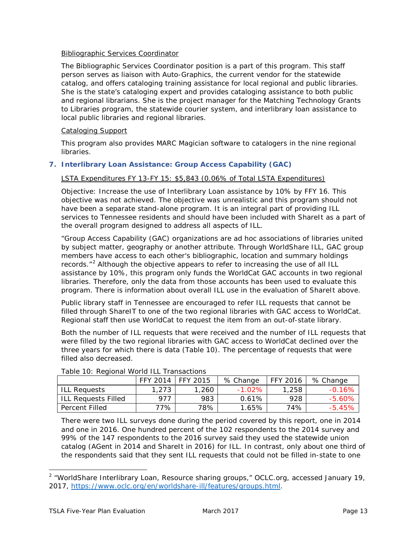#### Bibliographic Services Coordinator

The Bibliographic Services Coordinator position is a part of this program. This staff person serves as liaison with Auto-Graphics, the current vendor for the statewide catalog, and offers cataloging training assistance for local regional and public libraries. She is the state's cataloging expert and provides cataloging assistance to both public and regional librarians. She is the project manager for the *Matching Technology Grants to Libraries* program, the statewide courier system, and interlibrary loan assistance to local public libraries and regional libraries.

#### Cataloging Support

This program also provides MARC Magician software to catalogers in the nine regional libraries.

#### **7. Interlibrary Loan Assistance: Group Access Capability (GAC)**

#### LSTA Expenditures FY 13-FY 15: \$5,843 (0.06% of Total LSTA Expenditures)

Objective: Increase the use of Interlibrary Loan assistance by 10% by FFY 16*. This objective was not achieved.* The objective was unrealistic and this program should not have been a separate stand-alone program. It is an integral part of providing ILL services to Tennessee residents and should have been included with ShareIt as a part of the overall program designed to address all aspects of ILL.

"Group Access Capability (GAC) organizations are ad hoc associations of libraries united by subject matter, geography or another attribute. Through WorldShare ILL, GAC group members have access to each other's bibliographic, location and summary holdings records. $"^2$  $"^2$  Although the objective appears to refer to increasing the use of all ILL assistance by 10%, this program only funds the WorldCat GAC accounts in two regional libraries. Therefore, only the data from those accounts has been used to evaluate this program. There is information about overall ILL use in the evaluation of ShareIt above.

Public library staff in Tennessee are encouraged to refer ILL requests that cannot be filled through ShareIT to one of the two regional libraries with GAC access to WorldCat. Regional staff then use WorldCat to request the item from an out-of-state library.

Both the number of ILL requests that were received and the number of ILL requests that were filled by the two regional libraries with GAC access to WorldCat declined over the three years for which there is data (Table 10). The percentage of requests that were filled also decreased.

| Table TO. Regional World TEE Transactions |          |          |           |          |           |  |
|-------------------------------------------|----------|----------|-----------|----------|-----------|--|
|                                           | FFY 2014 | FFY 2015 | % Change  | FFY 2016 | % Change  |  |
| <b>ILL Reauests</b>                       | 1.273    | 1,260    | $-1.02\%$ | 1.258    | $-0.16%$  |  |
| ILL Reauests Filled                       | 977      | 983      | 0.61%     | 928      | $-5.60\%$ |  |
| Percent Filled                            | 77%      | 78%      | 1.65%     | 74%      | $-5.45\%$ |  |

Table 10: Regional World ILL Transactions

There were two ILL surveys done during the period covered by this report, one in 2014 and one in 2016. One hundred percent of the 102 respondents to the 2014 survey and 99% of the 147 respondents to the 2016 survey said they used the statewide union catalog (AGent in 2014 and ShareIt in 2016) for ILL. In contrast, only about one third of the respondents said that they sent ILL requests that could not be filled in-state to one

<span id="page-14-0"></span><sup>&</sup>lt;sup>2</sup> "WorldShare Interlibrary Loan, Resource sharing groups," OCLC.org, accessed January 19, 2017, [https://www.oclc.org/en/worldshare-ill/features/groups.html.](https://www.oclc.org/en/worldshare-ill/features/groups.html)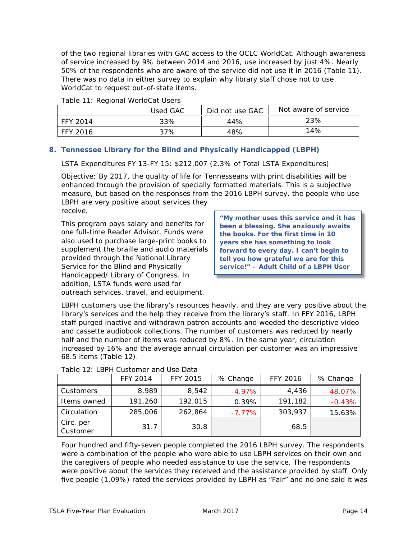of the two regional libraries with GAC access to the OCLC WorldCat. Although awareness of service increased by 9% between 2014 and 2016, use increased by just 4%. Nearly 50% of the respondents who are aware of the service did not use it in 2016 (Table 11). There was no data in either survey to explain why library staff chose not to use WorldCat to request out-of-state items.

|            | Used GAC | Did not use GAC | Not aware of service |
|------------|----------|-----------------|----------------------|
| l FFY 2014 | 33%      | 44%             | 23%                  |
| FFY 2016   | 37%      | 48%             | 14%                  |

#### Table 11: Regional WorldCat Users

#### **8. Tennessee Library for the Blind and Physically Handicapped (LBPH)**

#### LSTA Expenditures FY 13-FY 15: \$212,007 (2.3% of Total LSTA Expenditures)

Objective: By 2017, the quality of life for Tennesseans with print disabilities will be enhanced through the provision of specially formatted materials. *This is a subjective measure, but based on the responses from the 2016 LBPH survey, the people who use LBPH are very positive about services they* 

*receive.* 

This program pays salary and benefits for one full-time Reader Advisor. Funds were also used to purchase large-print books to supplement the braille and audio materials provided through the National Library Service for the Blind and Physically Handicapped/ Library of Congress. In addition, LSTA funds were used for outreach services, travel, and equipment.

**"My mother uses this service and it has been a blessing. She anxiously awaits the books. For the first time in 10 years she has something to look forward to every day. I can't begin to tell you how grateful we are for this service!" – Adult Child of a LBPH User**

LBPH customers use the library's resources heavily, and they are very positive about the library's services and the help they receive from the library's staff. In FFY 2016, LBPH staff purged inactive and withdrawn patron accounts and weeded the descriptive video and cassette audiobook collections. The number of customers was reduced by nearly half and the number of items was reduced by 8%. In the same year, circulation increased by 16% and the average annual circulation per customer was an impressive 68.5 items (Table 12).

|                       | FFY 2014 | <b>FFY 2015</b> | % Change  | <b>FFY 2016</b> | % Change  |
|-----------------------|----------|-----------------|-----------|-----------------|-----------|
| <b>Customers</b>      | 8,989    | 8.542           | $-4.97\%$ | 4,436           | $-48.07%$ |
| Items owned           | 191,260  | 192,015         | 0.39%     | 191,182         | $-0.43%$  |
| Circulation           | 285,006  | 262,864         | $-7.77\%$ | 303,937         | 15.63%    |
| Circ. per<br>Customer | 31.7     | 30.8            |           | 68.5            |           |

#### Table 12: LBPH Customer and Use Data

Four hundred and fifty-seven people completed the 2016 LBPH survey. The respondents were a combination of the people who were able to use LBPH services on their own and the caregivers of people who needed assistance to use the service. The respondents were positive about the services they received and the assistance provided by staff. Only five people (1.09%) rated the services provided by LBPH as "Fair" and no one said it was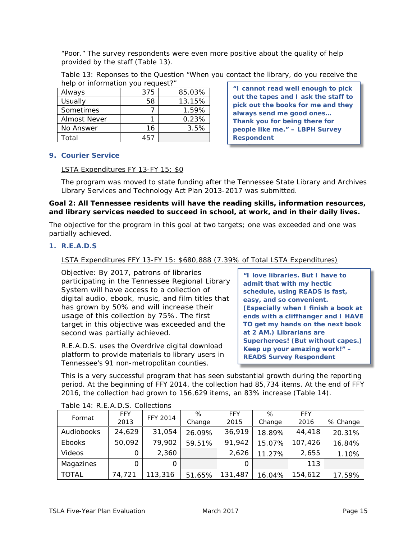"Poor." The survey respondents were even more positive about the quality of help provided by the staff (Table 13).

| Table 13: Reponses to the Question "When you contact the library, do you receive the |  |  |  |
|--------------------------------------------------------------------------------------|--|--|--|
| help or information you request?"                                                    |  |  |  |

| Always       | 375  | 85.03% |
|--------------|------|--------|
| Usually      | 58   | 13.15% |
| Sometimes    |      | 1.59%  |
| Almost Never |      | 0.23%  |
| No Answer    | 16   | 3.5%   |
| Total        | 45 I |        |

**"I cannot read well enough to pick out the tapes and I ask the staff to pick out the books for me and they always send me good ones… Thank you for being there for people like me." – LBPH Survey Respondent**

#### **9. Courier Service**

#### LSTA Expenditures FY 13-FY 15: \$0

The program was moved to state funding after the *Tennessee State Library and Archives Library Services and Technology Act Plan 2013-2017* was submitted.

#### **Goal 2: All Tennessee residents will have the reading skills, information resources, and library services needed to succeed in school, at work, and in their daily lives.**

The objective for the program in this goal at two targets; one was exceeded and one was partially achieved.

#### **1. R.E.A.D.S**

#### LSTA Expenditures FFY 13-FY 15: \$680,888 (7.39% of Total LSTA Expenditures)

Objective: By 2017, patrons of libraries participating in the Tennessee Regional Library System will have access to a collection of digital audio, ebook, music, and film titles that has grown by 50% and will increase their usage of this collection by 75%. *The first target in this objective was exceeded and the second was partially achieved.*

R.E.A.D.S. uses the Overdrive digital download platform to provide materials to library users in Tennessee's 91 non-metropolitan counties.

**"I love libraries. But I have to admit that with my hectic schedule, using READS is fast, easy, and so convenient. (Especially when I finish a book at ends with a cliffhanger and I HAVE TO get my hands on the next book at 2 AM.) Librarians are Superheroes! (But without capes.) Keep up your amazing work!" – READS Survey Respondent**

This is a very successful program that has seen substantial growth during the reporting period. At the beginning of FFY 2014, the collection had 85,734 items. At the end of FFY 2016, the collection had grown to 156,629 items, an 83% increase (Table 14).

| Format       | <b>FFY</b> | <b>FFY 2014</b> | %      | <b>FFY</b> | %      | <b>FFY</b> |          |
|--------------|------------|-----------------|--------|------------|--------|------------|----------|
|              | 2013       |                 | Change | 2015       | Change | 2016       | % Change |
| Audiobooks   | 24,629     | 31,054          | 26.09% | 36,919     | 18.89% | 44,418     | 20.31%   |
| Ebooks       | 50,092     | 79,902          | 59.51% | 91,942     | 15.07% | 107,426    | 16.84%   |
| Videos       |            | 2,360           |        | 2,626      | 11.27% | 2,655      | 1.10%    |
| Magazines    |            | O               |        | O          |        | 113        |          |
| <b>TOTAL</b> | 74,721     | 113,316         | 51.65% | 131,487    | 16.04% | 154,612    | 17.59%   |

#### Table 14: R.E.A.D.S. Collections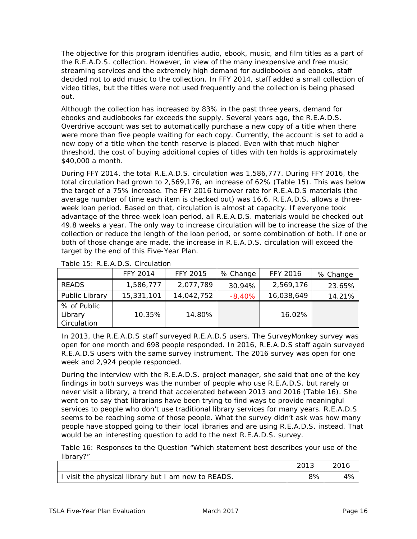The objective for this program identifies audio, ebook, music, and film titles as a part of the R.E.A.D.S. collection. However, in view of the many inexpensive and free music streaming services and the extremely high demand for audiobooks and ebooks, staff decided not to add music to the collection. In FFY 2014, staff added a small collection of video titles, but the titles were not used frequently and the collection is being phased out.

Although the collection has increased by 83% in the past three years, demand for ebooks and audiobooks far exceeds the supply. Several years ago, the R.E.A.D.S. Overdrive account was set to automatically purchase a new copy of a title when there were more than five people waiting for each copy. Currently, the account is set to add a new copy of a title when the tenth reserve is placed. Even with that much higher threshold, the cost of buying additional copies of titles with ten holds is approximately \$40,000 a month.

During FFY 2014, the total R.E.A.D.S. circulation was 1,586,777. During FFY 2016, the total circulation had grown to 2,569,176, an increase of 62% (Table 15). This was below the target of a 75% increase. The FFY 2016 turnover rate for R.E.A.D.S materials (the average number of time each item is checked out) was 16.6. R.E.A.D.S. allows a threeweek loan period. Based on that, circulation is almost at capacity. If everyone took advantage of the three-week loan period, all R.E.A.D.S. materials would be checked out 49.8 weeks a year. The only way to increase circulation will be to increase the size of the collection or reduce the length of the loan period, or some combination of both. If one or both of those change are made, the increase in R.E.A.D.S. circulation will exceed the target by the end of this Five-Year Plan.

|                                       | <b>FFY 2014</b> | <b>FFY 2015</b> | % Change  | <b>FFY 2016</b> | % Change |
|---------------------------------------|-----------------|-----------------|-----------|-----------------|----------|
| <b>READS</b>                          | 1,586,777       | 2,077,789       | 30.94%    | 2,569,176       | 23.65%   |
| Public Library                        | 15,331,101      | 14,042,752      | $-8.40\%$ | 16,038,649      | 14.21%   |
| % of Public<br>Library<br>Circulation | 10.35%          | 14.80%          |           | 16.02%          |          |

Table 15: R.E.A.D.S. Circulation

In 2013, the R.E.A.D.S staff surveyed R.E.A.D.S users. The SurveyMonkey survey was open for one month and 698 people responded. In 2016, R.E.A.D.S staff again surveyed R.E.A.D.S users with the same survey instrument. The 2016 survey was open for one week and 2,924 people responded.

During the interview with the R.E.A.D.S. project manager, she said that one of the key findings in both surveys was the number of people who use R.E.A.D.S. but rarely or never visit a library, a trend that accelerated between 2013 and 2016 (Table 16). She went on to say that librarians have been trying to find ways to provide meaningful services to people who don't use traditional library services for many years. R.E.A.D.S seems to be reaching some of those people. What the survey didn't ask was how many people have stopped going to their local libraries and are using R.E.A.D.S. instead. That would be an interesting question to add to the next R.E.A.D.S. survey.

Table 16: Responses to the Question "Which statement best describes your use of the library?"

|                                                     | 2013   2016 |    |
|-----------------------------------------------------|-------------|----|
| I visit the physical library but I am new to READS. | 8%          | 4% |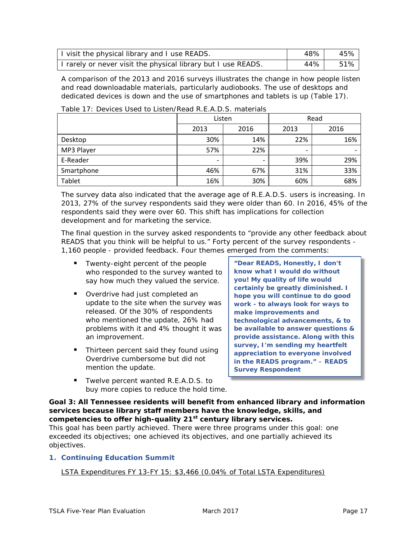| I visit the physical library and I use READS.                 | 48% | 45% |
|---------------------------------------------------------------|-----|-----|
| I rarely or never visit the physical library but I use READS. | 44% | 51% |

A comparison of the 2013 and 2016 surveys illustrates the change in how people listen and read downloadable materials, particularly audiobooks. The use of desktops and dedicated devices is down and the use of smartphones and tablets is up (Table 17).

|            | Listen                       |                          |      | Read |  |  |
|------------|------------------------------|--------------------------|------|------|--|--|
|            | 2013                         | 2016                     | 2013 | 2016 |  |  |
| Desktop    | 30%                          | 14%                      | 22%  | 16%  |  |  |
| MP3 Player | 57%                          | 22%                      |      |      |  |  |
| E-Reader   | $\qquad \qquad \blacksquare$ | $\overline{\phantom{a}}$ | 39%  | 29%  |  |  |
| Smartphone | 46%                          | 67%                      | 31%  | 33%  |  |  |
| Tablet     | 16%                          | 30%                      | 60%  | 68%  |  |  |

Table 17: Devices Used to Listen/Read R F A D S materials

The survey data also indicated that the average age of R.E.A.D.S. users is increasing. In 2013, 27% of the survey respondents said they were older than 60. In 2016, 45% of the respondents said they were over 60. This shift has implications for collection development and for marketing the service.

The final question in the survey asked respondents to "provide any other feedback about READS that you think will be helpful to us." Forty percent of the survey respondents - 1,160 people - provided feedback. Four themes emerged from the comments:

- Twenty-eight percent of the people who responded to the survey wanted to say how much they valued the service.
- **•** Overdrive had just completed an update to the site when the survey was released. Of the 30% of respondents who mentioned the update, 26% had problems with it and 4% thought it was an improvement.
- Thirteen percent said they found using Overdrive cumbersome but did not mention the update.
- Twelve percent wanted R.E.A.D.S. to buy more copies to reduce the hold time.

**"Dear READS, Honestly, I don't know what I would do without you! My quality of life would certainly be greatly diminished. I hope you will continue to do good work - to always look for ways to make improvements and technological advancements, & to be available to answer questions & provide assistance. Along with this survey, I'm sending my heartfelt appreciation to everyone involved in the READS program."** – **READS Survey Respondent**

**Goal 3: All Tennessee residents will benefit from enhanced library and information services because library staff members have the knowledge, skills, and competencies to offer high-quality 21st century library services.**

This goal has been partly achieved. There were three programs under this goal: one exceeded its objectives; one achieved its objectives, and one partially achieved its objectives.

#### **1. Continuing Education Summit**

LSTA Expenditures FY 13-FY 15: \$3,466 (0.04% of Total LSTA Expenditures)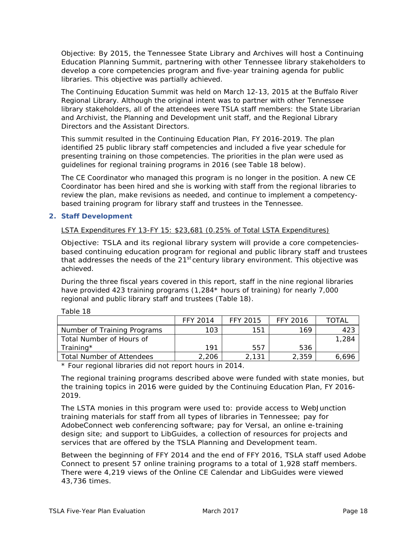Objective: By 2015, the Tennessee State Library and Archives will host a Continuing Education Planning Summit, partnering with other Tennessee library stakeholders to develop a core competencies program and five-year training agenda for public libraries. *This objective was partially achieved.*

The Continuing Education Summit was held on March 12-13, 2015 at the Buffalo River Regional Library. Although the original intent was to partner with other Tennessee library stakeholders, all of the attendees were TSLA staff members: the State Librarian and Archivist, the Planning and Development unit staff, and the Regional Library Directors and the Assistant Directors.

This summit resulted in the *Continuing Education Plan, FY 2016-2019.* The plan identified 25 public library staff competencies and included a five year schedule for presenting training on those competencies. The priorities in the plan were used as guidelines for regional training programs in 2016 (see Table 18 below).

The CE Coordinator who managed this program is no longer in the position. A new CE Coordinator has been hired and she is working with staff from the regional libraries to review the plan, make revisions as needed, and continue to implement a competencybased training program for library staff and trustees in the Tennessee.

#### **2. Staff Development**

#### LSTA Expenditures FY 13-FY 15: \$23,681 (0.25% of Total LSTA Expenditures)

Objective: TSLA and its regional library system will provide a core competenciesbased continuing education program for regional and public library staff and trustees that addresses the needs of the 21<sup>st</sup> century library environment. *This objective was achieved.*

During the three fiscal years covered in this report, staff in the nine regional libraries have provided 423 training programs (1,284\* hours of training) for nearly 7,000 regional and public library staff and trustees (Table 18).

|                             | FFY 2014 | <b>FFY 2015</b> | FFY 2016 | ΤΟΤΑΙ |
|-----------------------------|----------|-----------------|----------|-------|
| Number of Training Programs | 103      | 151             | 169      | 423   |
| Total Number of Hours of    |          |                 |          | 1,284 |
| Training*                   | 191      | 557             | 536      |       |
| Total Number of Attendees   | 2.206    | 2.131           | 2,359    | 6,696 |

Table 18

\* Four regional libraries did not report hours in 2014.

The regional training programs described above were funded with state monies, but the training topics in 2016 were guided by the *Continuing Education Plan, FY 2016- 2019*.

The LSTA monies in this program were used to: provide access to WebJunction training materials for staff from all types of libraries in Tennessee; pay for AdobeConnect web conferencing software; pay for Versal, an online e-training design site; and support to LibGuides, a collection of resources for projects and services that are offered by the TSLA Planning and Development team.

Between the beginning of FFY 2014 and the end of FFY 2016, TSLA staff used Adobe Connect to present 57 online training programs to a total of 1,928 staff members. There were 4,219 views of the Online CE Calendar and LibGuides were viewed 43,736 times.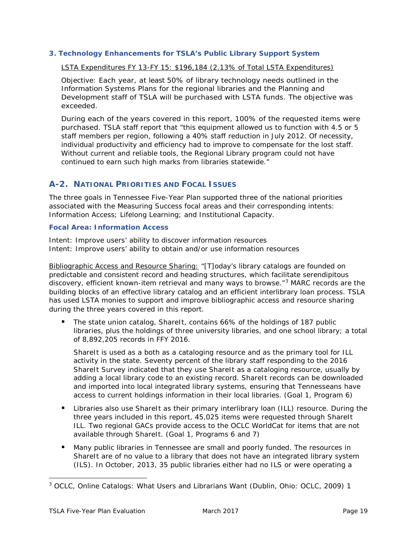#### **3. Technology Enhancements for TSLA's Public Library Support System**

#### LSTA Expenditures FY 13-FY 15: \$196,184 (2.13% of Total LSTA Expenditures)

Objective: Each year, at least 50% of library technology needs outlined in the Information Systems Plans for the regional libraries and the Planning and Development staff of TSLA will be purchased with LSTA funds*. The objective was exceeded.*

During each of the years covered in this report, 100% of the requested items were purchased. TSLA staff report that "this equipment allowed us to function with 4.5 or 5 staff members per region, following a 40% staff reduction in July 2012. Of necessity, individual productivity and efficiency had to improve to compensate for the lost staff. Without current and reliable tools, the Regional Library program could not have continued to earn such high marks from libraries statewide."

#### **A-2. NATIONAL PRIORITIES AND FOCAL ISSUES**

The three goals in Tennessee Five-Year Plan supported three of the national priorities associated with the Measuring Success focal areas and their corresponding intents: Information Access; Lifelong Learning; and Institutional Capacity.

#### **Focal Area: Information Access**

Intent: Improve users' ability to discover information resources Intent: Improve users' ability to obtain and/or use information resources

Bibliographic Access and Resource Sharing: "[T]oday's library catalogs are founded on predictable and consistent record and heading structures, which facilitate serendipitous discovery, efficient known-item retrieval and many ways to browse."<sup>[3](#page-20-0)</sup> MARC records are the building blocks of an effective library catalog and an efficient interlibrary loan process. TSLA has used LSTA monies to support and improve bibliographic access and resource sharing during the three years covered in this report.

The state union catalog, ShareIt, contains 66% of the holdings of 187 public libraries, plus the holdings of three university libraries, and one school library; a total of 8,892,205 records in FFY 2016.

ShareIt is used as a both as a cataloging resource and as the primary tool for ILL activity in the state. Seventy percent of the library staff responding to the *2016 ShareIt Survey* indicated that they use ShareIt as a cataloging resource, usually by adding a local library code to an existing record. ShareIt records can be downloaded and imported into local integrated library systems, ensuring that Tennesseans have access to current holdings information in their local libraries. (Goal 1, Program 6)

- Libraries also use ShareIt as their primary interlibrary loan (ILL) resource. During the three years included in this report, 45,025 items were requested through ShareIt ILL. Two regional GACs provide access to the OCLC WorldCat for items that are not available through ShareIt. (Goal 1, Programs 6 and 7)
- **Many public libraries in Tennessee are small and poorly funded. The resources in** ShareIt are of no value to a library that does not have an integrated library system (ILS). In October, 2013, 35 public libraries either had no ILS or were operating a

<span id="page-20-0"></span><sup>&</sup>lt;sup>3</sup> OCLC, *Online Catalogs: What Users and Librarians Want* (Dublin, Ohio: OCLC, 2009) 1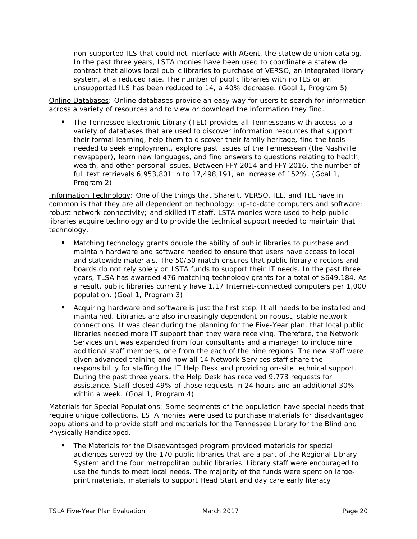non-supported ILS that could not interface with AGent, the statewide union catalog. In the past three years, LSTA monies have been used to coordinate a statewide contract that allows local public libraries to purchase of VERSO, an integrated library system, at a reduced rate. The number of public libraries with no ILS or an unsupported ILS has been reduced to 14, a 40% decrease. (Goal 1, Program 5)

Online Databases: Online databases provide an easy way for users to search for information across a variety of resources and to view or download the information they find.

 The Tennessee Electronic Library (TEL) provides all Tennesseans with access to a variety of databases that are used to discover information resources that support their formal learning, help them to discover their family heritage, find the tools needed to seek employment, explore past issues of the Tennessean (the Nashville newspaper), learn new languages, and find answers to questions relating to health, wealth, and other personal issues. Between FFY 2014 and FFY 2016, the number of full text retrievals 6,953,801 in to 17,498,191, an increase of 152%. (Goal 1, Program 2)

Information Technology: One of the things that ShareIt, VERSO, ILL, and TEL have in common is that they are all dependent on technology: up-to-date computers and software; robust network connectivity; and skilled IT staff. LSTA monies were used to help public libraries acquire technology and to provide the technical support needed to maintain that technology.

- Matching technology grants double the ability of public libraries to purchase and maintain hardware and software needed to ensure that users have access to local and statewide materials. The 50/50 match ensures that public library directors and boards do not rely solely on LSTA funds to support their IT needs. In the past three years, TLSA has awarded 476 matching technology grants for a total of \$649,184. As a result, public libraries currently have 1.17 Internet-connected computers per 1,000 population. (Goal 1, Program 3)
- Acquiring hardware and software is just the first step. It all needs to be installed and maintained. Libraries are also increasingly dependent on robust, stable network connections. It was clear during the planning for the Five-Year plan, that local public libraries needed more IT support than they were receiving. Therefore, the Network Services unit was expanded from four consultants and a manager to include nine additional staff members, one from the each of the nine regions. The new staff were given advanced training and now all 14 Network Services staff share the responsibility for staffing the IT Help Desk and providing on-site technical support. During the past three years, the Help Desk has received 9,773 requests for assistance. Staff closed 49% of those requests in 24 hours and an additional 30% within a week. (Goal 1, Program 4)

Materials for Special Populations: Some segments of the population have special needs that require unique collections. LSTA monies were used to purchase materials for disadvantaged populations and to provide staff and materials for the Tennessee Library for the Blind and Physically Handicapped.

 The Materials for the Disadvantaged program provided materials for special audiences served by the 170 public libraries that are a part of the Regional Library System and the four metropolitan public libraries. Library staff were encouraged to use the funds to meet local needs. The majority of the funds were spent on largeprint materials, materials to support Head Start and day care early literacy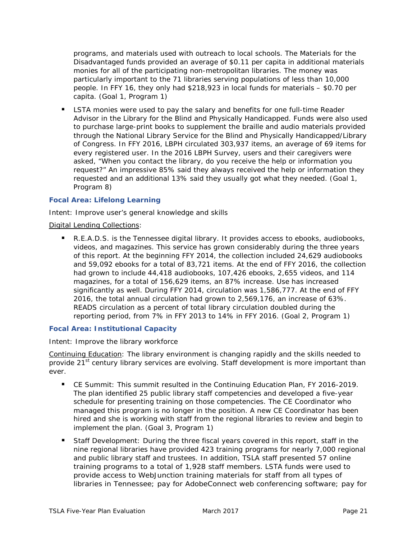programs, and materials used with outreach to local schools. The Materials for the Disadvantaged funds provided an average of \$0.11 per capita in additional materials monies for all of the participating non-metropolitan libraries. The money was particularly important to the 71 libraries serving populations of less than 10,000 people. In FFY 16, they only had \$218,923 in local funds for materials – \$0.70 per capita. (Goal 1, Program 1)

**EXTED 10** LSTA monies were used to pay the salary and benefits for one full-time Reader Advisor in the Library for the Blind and Physically Handicapped. Funds were also used to purchase large-print books to supplement the braille and audio materials provided through the National Library Service for the Blind and Physically Handicapped/Library of Congress. In FFY 2016, LBPH circulated 303,937 items, an average of 69 items for every registered user. In the 2016 LBPH Survey, users and their caregivers were asked, "When you contact the library, do you receive the help or information you request?" An impressive 85% said they always received the help or information they requested and an additional 13% said they usually got what they needed. (Goal 1, Program 8)

#### **Focal Area: Lifelong Learning**

Intent: Improve user's general knowledge and skills

#### Digital Lending Collections:

■ R.E.A.D.S. is the Tennessee digital library. It provides access to ebooks, audiobooks, videos, and magazines. This service has grown considerably during the three years of this report. At the beginning FFY 2014, the collection included 24,629 audiobooks and 59,092 ebooks for a total of 83,721 items. At the end of FFY 2016, the collection had grown to include 44,418 audiobooks, 107,426 ebooks, 2,655 videos, and 114 magazines, for a total of 156,629 items, an 87% increase. Use has increased significantly as well. During FFY 2014, circulation was 1,586,777. At the end of FFY 2016, the total annual circulation had grown to 2,569,176, an increase of 63%. READS circulation as a percent of total library circulation doubled during the reporting period, from 7% in FFY 2013 to 14% in FFY 2016. (Goal 2, Program 1)

#### **Focal Area: Institutional Capacity**

#### Intent: Improve the library workforce

Continuing Education: The library environment is changing rapidly and the skills needed to provide 21<sup>st</sup> century library services are evolving. Staff development is more important than ever.

- CE Summit: This summit resulted in the *Continuing Education Plan, FY 2016-2019.*  The plan identified 25 public library staff competencies and developed a five-year schedule for presenting training on those competencies. The CE Coordinator who managed this program is no longer in the position. A new CE Coordinator has been hired and she is working with staff from the regional libraries to review and begin to implement the plan. (Goal 3, Program 1)
- Staff Development: During the three fiscal years covered in this report, staff in the nine regional libraries have provided 423 training programs for nearly 7,000 regional and public library staff and trustees. In addition, TSLA staff presented 57 online training programs to a total of 1,928 staff members. LSTA funds were used to provide access to WebJunction training materials for staff from all types of libraries in Tennessee; pay for AdobeConnect web conferencing software; pay for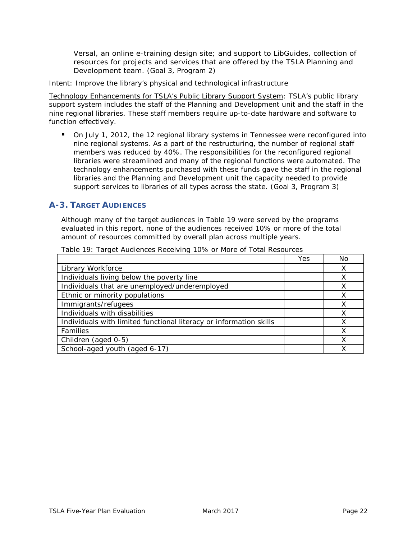Versal, an online e-training design site; and support to LibGuides, collection of resources for projects and services that are offered by the TSLA Planning and Development team. (Goal 3, Program 2)

Intent: Improve the library's physical and technological infrastructure

Technology Enhancements for TSLA's Public Library Support System: TSLA's public library support system includes the staff of the Planning and Development unit and the staff in the nine regional libraries. These staff members require up-to-date hardware and software to function effectively.

 On July 1, 2012, the 12 regional library systems in Tennessee were reconfigured into nine regional systems. As a part of the restructuring, the number of regional staff members was reduced by 40%. The responsibilities for the reconfigured regional libraries were streamlined and many of the regional functions were automated. The technology enhancements purchased with these funds gave the staff in the regional libraries and the Planning and Development unit the capacity needed to provide support services to libraries of all types across the state. (Goal 3, Program 3)

#### **A-3. TARGET AUDIENCES**

Although many of the target audiences in Table 19 were served by the programs evaluated in this report, none of the audiences received 10% or more of the total amount of resources committed by overall plan across multiple years.

|                                                                    | Yes | No |
|--------------------------------------------------------------------|-----|----|
| Library Workforce                                                  |     |    |
| Individuals living below the poverty line                          |     | x  |
| Individuals that are unemployed/underemployed                      |     |    |
| Ethnic or minority populations                                     |     | X  |
| Immigrants/refugees                                                |     | Х  |
| Individuals with disabilities                                      |     | x  |
| Individuals with limited functional literacy or information skills |     |    |
| Families                                                           |     |    |
| Children (aged 0-5)                                                |     |    |
| School-aged youth (aged 6-17)                                      |     |    |

Table 19: Target Audiences Receiving 10% or More of Total Resources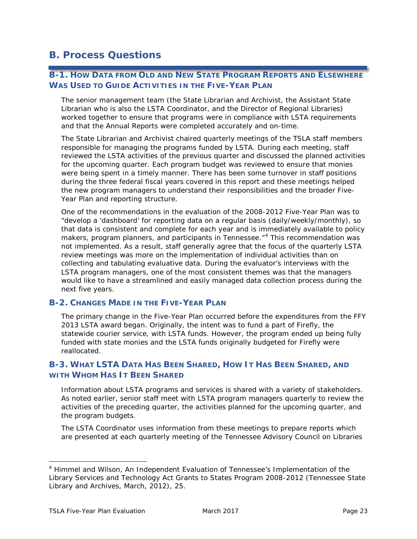### **B. Process Questions**

#### **B-1. HOW DATA FROM OLD AND NEW STATE PROGRAM REPORTS AND ELSEWHERE WAS USED TO GUIDE ACTIVITIES IN THE FIVE-YEAR PLAN**

The senior management team (the State Librarian and Archivist, the Assistant State Librarian who is also the LSTA Coordinator, and the Director of Regional Libraries) worked together to ensure that programs were in compliance with LSTA requirements and that the Annual Reports were completed accurately and on-time.

The State Librarian and Archivist chaired quarterly meetings of the TSLA staff members responsible for managing the programs funded by LSTA. During each meeting, staff reviewed the LSTA activities of the previous quarter and discussed the planned activities for the upcoming quarter. Each program budget was reviewed to ensure that monies were being spent in a timely manner. There has been some turnover in staff positions during the three federal fiscal years covered in this report and these meetings helped the new program managers to understand their responsibilities and the broader Five-Year Plan and reporting structure.

One of the recommendations in the evaluation of the 2008-2012 Five-Year Plan was to "develop a 'dashboard' for reporting data on a regular basis (daily/weekly/monthly), so that data is consistent and complete for each year and is immediately available to policy makers, program planners, and participants in Tennessee."<sup>[4](#page-24-0)</sup> This recommendation was not implemented. As a result, staff generally agree that the focus of the quarterly LSTA review meetings was more on the implementation of individual activities than on collecting and tabulating evaluative data. During the evaluator's interviews with the LSTA program managers, one of the most consistent themes was that the managers would like to have a streamlined and easily managed data collection process during the next five years.

#### **B-2. CHANGES MADE IN THE FIVE-YEAR PLAN**

The primary change in the Five-Year Plan occurred before the expenditures from the FFY 2013 LSTA award began. Originally, the intent was to fund a part of Firefly, the statewide courier service, with LSTA funds. However, the program ended up being fully funded with state monies and the LSTA funds originally budgeted for Firefly were reallocated.

#### **B-3. WHAT LSTA DATA HAS BEEN SHARED, HOW IT HAS BEEN SHARED, AND WITH WHOM HAS IT BEEN SHARED**

Information about LSTA programs and services is shared with a variety of stakeholders. As noted earlier, senior staff meet with LSTA program managers quarterly to review the activities of the preceding quarter, the activities planned for the upcoming quarter, and the program budgets.

The LSTA Coordinator uses information from these meetings to prepare reports which are presented at each quarterly meeting of the Tennessee Advisory Council on Libraries

<span id="page-24-0"></span> <sup>4</sup> Himmel and Wilson, *An Independent Evaluation of Tennessee's Implementation of the Library Services and Technology Act Grants to States Program 2008-2012* (Tennessee State Library and Archives, March, 2012), 25.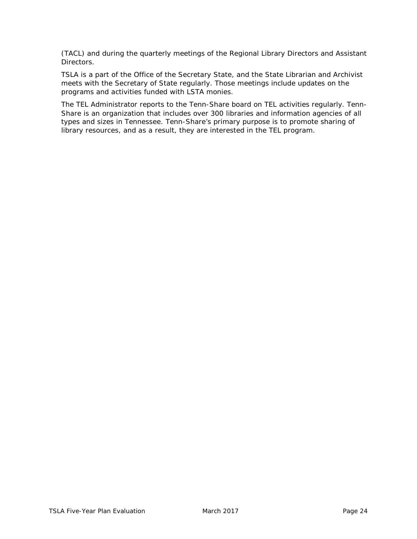(TACL) and during the quarterly meetings of the Regional Library Directors and Assistant Directors.

TSLA is a part of the Office of the Secretary State, and the State Librarian and Archivist meets with the Secretary of State regularly. Those meetings include updates on the programs and activities funded with LSTA monies.

The TEL Administrator reports to the Tenn-Share board on TEL activities regularly. Tenn-Share is an organization that includes over 300 libraries and information agencies of all types and sizes in Tennessee. Tenn-Share's primary purpose is to promote sharing of library resources, and as a result, they are interested in the TEL program.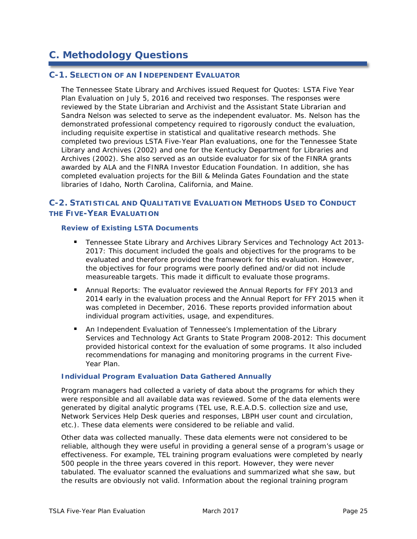# **C. Methodology Questions**

#### **C-1. SELECTION OF AN INDEPENDENT EVALUATOR**

The Tennessee State Library and Archives issued *Request for Quotes: LSTA Five Year Plan Evaluation* on July 5, 2016 and received two responses*.* The responses were reviewed by the State Librarian and Archivist and the Assistant State Librarian and Sandra Nelson was selected to serve as the independent evaluator. Ms. Nelson has the demonstrated professional competency required to rigorously conduct the evaluation, including requisite expertise in statistical and qualitative research methods. She completed two previous LSTA Five-Year Plan evaluations, one for the Tennessee State Library and Archives (2002) and one for the Kentucky Department for Libraries and Archives (2002). She also served as an outside evaluator for six of the FINRA grants awarded by ALA and the FINRA Investor Education Foundation. In addition, she has completed evaluation projects for the Bill & Melinda Gates Foundation and the state libraries of Idaho, North Carolina, California, and Maine.

#### **C-2. STATISTICAL AND QUALITATIVE EVALUATION METHODS USED TO CONDUCT THE FIVE-YEAR EVALUATION**

#### **Review of Existing LSTA Documents**

- *Tennessee State Library and Archives Library Services and Technology Act 2013- 2017*: This document included the goals and objectives for the programs to be evaluated and therefore provided the framework for this evaluation. However, the objectives for four programs were poorly defined and/or did not include measureable targets. This made it difficult to evaluate those programs.
- Annual Reports: The evaluator reviewed the Annual Reports for FFY 2013 and 2014 early in the evaluation process and the Annual Report for FFY 2015 when it was completed in December, 2016. These reports provided information about individual program activities, usage, and expenditures.
- *An Independent Evaluation of Tennessee's Implementation of the Library Services and Technology Act Grants to State Program 2008-2012*: This document provided historical context for the evaluation of some programs. It also included recommendations for managing and monitoring programs in the current Five-Year Plan.

#### **Individual Program Evaluation Data Gathered Annually**

Program managers had collected a variety of data about the programs for which they were responsible and all available data was reviewed. Some of the data elements were generated by digital analytic programs (TEL use, R.E.A.D.S. collection size and use, Network Services Help Desk queries and responses, LBPH user count and circulation, etc.). These data elements were considered to be reliable and valid.

Other data was collected manually. These data elements were not considered to be reliable, although they were useful in providing a general sense of a program's usage or effectiveness. For example, TEL training program evaluations were completed by nearly 500 people in the three years covered in this report. However, they were never tabulated. The evaluator scanned the evaluations and summarized what she saw, but the results are obviously not valid. Information about the regional training program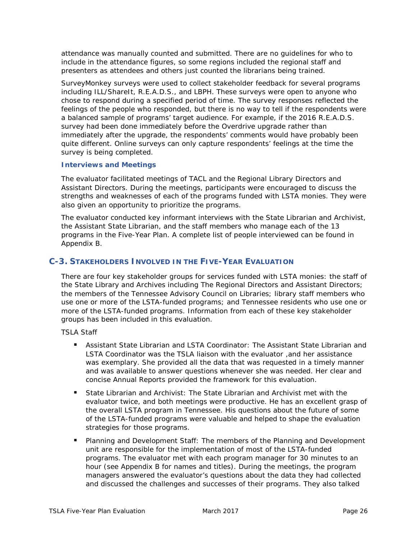attendance was manually counted and submitted. There are no guidelines for who to include in the attendance figures, so some regions included the regional staff and presenters as attendees and others just counted the librarians being trained.

SurveyMonkey surveys were used to collect stakeholder feedback for several programs including ILL/ShareIt, R.E.A.D.S., and LBPH. These surveys were open to anyone who chose to respond during a specified period of time. The survey responses reflected the feelings of the people who responded, but there is no way to tell if the respondents were a balanced sample of programs' target audience. For example, if the 2016 R.E.A.D.S. survey had been done immediately before the Overdrive upgrade rather than immediately after the upgrade, the respondents' comments would have probably been quite different. Online surveys can only capture respondents' feelings at the time the survey is being completed.

#### **Interviews and Meetings**

The evaluator facilitated meetings of TACL and the Regional Library Directors and Assistant Directors. During the meetings, participants were encouraged to discuss the strengths and weaknesses of each of the programs funded with LSTA monies. They were also given an opportunity to prioritize the programs.

The evaluator conducted key informant interviews with the State Librarian and Archivist, the Assistant State Librarian, and the staff members who manage each of the 13 programs in the Five-Year Plan. A complete list of people interviewed can be found in Appendix B.

#### **C-3. STAKEHOLDERS INVOLVED IN THE FIVE-YEAR EVALUATION**

There are four key stakeholder groups for services funded with LSTA monies: the staff of the State Library and Archives including The Regional Directors and Assistant Directors; the members of the Tennessee Advisory Council on Libraries; library staff members who use one or more of the LSTA-funded programs; and Tennessee residents who use one or more of the LSTA-funded programs. Information from each of these key stakeholder groups has been included in this evaluation.

TSLA Staff

- Assistant State Librarian and LSTA Coordinator: The Assistant State Librarian and LSTA Coordinator was the TSLA liaison with the evaluator ,and her assistance was exemplary. She provided all the data that was requested in a timely manner and was available to answer questions whenever she was needed. Her clear and concise Annual Reports provided the framework for this evaluation.
- State Librarian and Archivist: The State Librarian and Archivist met with the evaluator twice, and both meetings were productive. He has an excellent grasp of the overall LSTA program in Tennessee. His questions about the future of some of the LSTA-funded programs were valuable and helped to shape the evaluation strategies for those programs.
- **Planning and Development Staff: The members of the Planning and Development** unit are responsible for the implementation of most of the LSTA-funded programs. The evaluator met with each program manager for 30 minutes to an hour (see Appendix B for names and titles). During the meetings, the program managers answered the evaluator's questions about the data they had collected and discussed the challenges and successes of their programs. They also talked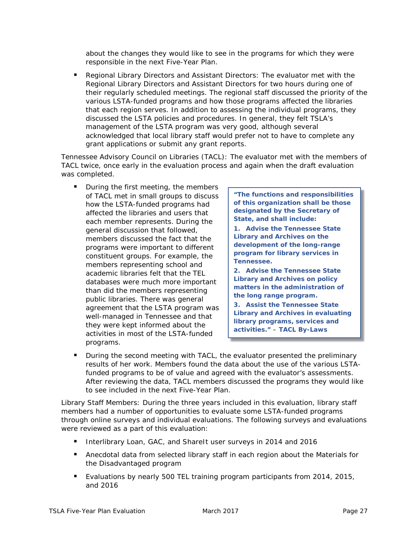about the changes they would like to see in the programs for which they were responsible in the next Five-Year Plan.

**Regional Library Directors and Assistant Directors: The evaluator met with the** Regional Library Directors and Assistant Directors for two hours during one of their regularly scheduled meetings. The regional staff discussed the priority of the various LSTA-funded programs and how those programs affected the libraries that each region serves. In addition to assessing the individual programs, they discussed the LSTA policies and procedures. In general, they felt TSLA's management of the LSTA program was very good, although several acknowledged that local library staff would prefer not to have to complete any grant applications or submit any grant reports.

Tennessee Advisory Council on Libraries (TACL): The evaluator met with the members of TACL twice, once early in the evaluation process and again when the draft evaluation was completed.

 During the first meeting, the members of TACL met in small groups to discuss how the LSTA-funded programs had affected the libraries and users that each member represents. During the general discussion that followed, members discussed the fact that the programs were important to different constituent groups. For example, the members representing school and academic libraries felt that the TEL databases were much more important than did the members representing public libraries. There was general agreement that the LSTA program was well-managed in Tennessee and that they were kept informed about the activities in most of the LSTA-funded programs.

**"The functions and responsibilities of this organization shall be those designated by the Secretary of State, and shall include:**

**1. Advise the Tennessee State Library and Archives on the development of the long-range program for library services in Tennessee.**

**2. Advise the Tennessee State Library and Archives on policy matters in the administration of the long range program.**

**3. Assist the Tennessee State Library and Archives in evaluating library programs, services and activities."** – **TACL By-Laws**

**During the second meeting with TACL, the evaluator presented the preliminary** results of her work. Members found the data about the use of the various LSTAfunded programs to be of value and agreed with the evaluator's assessments. After reviewing the data, TACL members discussed the programs they would like to see included in the next Five-Year Plan.

Library Staff Members: During the three years included in this evaluation, library staff members had a number of opportunities to evaluate some LSTA-funded programs through online surveys and individual evaluations. The following surveys and evaluations were reviewed as a part of this evaluation:

- Interlibrary Loan, GAC, and ShareIt user surveys in 2014 and 2016
- **Anecdotal data from selected library staff in each region about the Materials for** the Disadvantaged program
- Evaluations by nearly 500 TEL training program participants from 2014, 2015, and 2016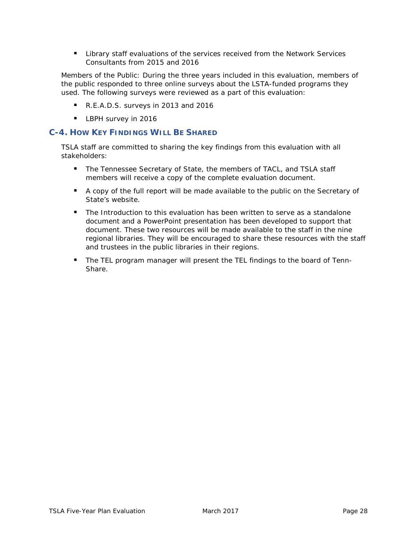Library staff evaluations of the services received from the Network Services Consultants from 2015 and 2016

Members of the Public: During the three years included in this evaluation, members of the public responded to three online surveys about the LSTA-funded programs they used. The following surveys were reviewed as a part of this evaluation:

- R.E.A.D.S. surveys in 2013 and 2016
- **LBPH survey in 2016**

#### **C-4. HOW KEY FINDINGS WILL BE SHARED**

TSLA staff are committed to sharing the key findings from this evaluation with all stakeholders:

- **The Tennessee Secretary of State, the members of TACL, and TSLA staff** members will receive a copy of the complete evaluation document.
- A copy of the full report will be made available to the public on the Secretary of State's website.
- **The Introduction to this evaluation has been written to serve as a standalone** document and a PowerPoint presentation has been developed to support that document. These two resources will be made available to the staff in the nine regional libraries. They will be encouraged to share these resources with the staff and trustees in the public libraries in their regions.
- The TEL program manager will present the TEL findings to the board of Tenn-Share.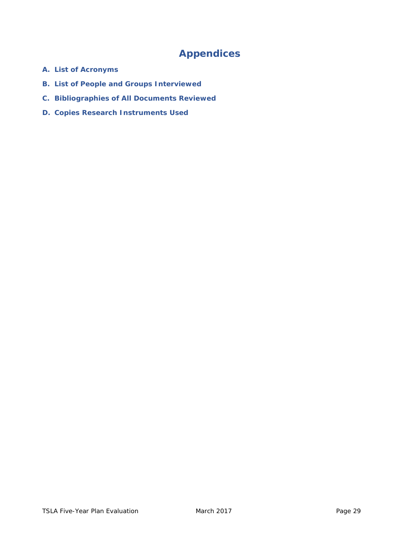# **Appendices**

- **A. List of Acronyms**
- **B. List of People and Groups Interviewed**
- **C. Bibliographies of All Documents Reviewed**
- **D. Copies Research Instruments Used**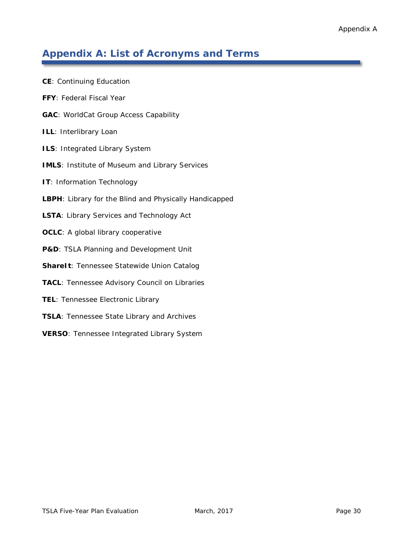# **Appendix A: List of Acronyms and Terms**

| <b>CE:</b> Continuing Education                        |
|--------------------------------------------------------|
| FFY: Federal Fiscal Year                               |
| <b>GAC: WorldCat Group Access Capability</b>           |
| ILL: Interlibrary Loan                                 |
| ILS: Integrated Library System                         |
| <b>IMLS: Institute of Museum and Library Services</b>  |
| IT: Information Technology                             |
| LBPH: Library for the Blind and Physically Handicapped |
| LSTA: Library Services and Technology Act              |
| <b>OCLC:</b> A global library cooperative              |
| P&D: TSLA Planning and Development Unit                |
| <b>ShareIt: Tennessee Statewide Union Catalog</b>      |
| TACL: Tennessee Advisory Council on Libraries          |
| TEL: Tennessee Electronic Library                      |
| <b>TSLA: Tennessee State Library and Archives</b>      |
| <b>VERSO:</b> Tennessee Integrated Library System      |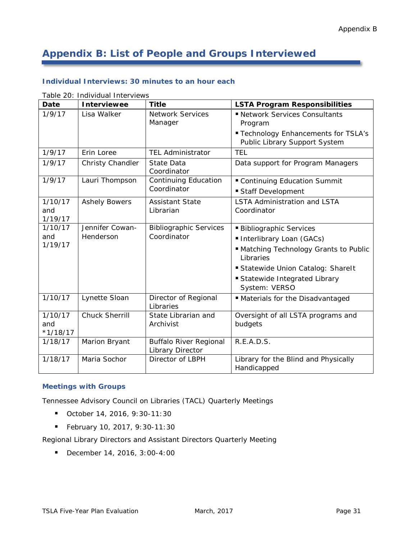# **Appendix B: List of People and Groups Interviewed**

#### **Individual Interviews: 30 minutes to an hour each**

| Date                         | <b>Interviewee</b>           | <b>Title</b>                                      | <b>LSTA Program Responsibilities</b>                                                                                                                                                                  |  |
|------------------------------|------------------------------|---------------------------------------------------|-------------------------------------------------------------------------------------------------------------------------------------------------------------------------------------------------------|--|
| 1/9/17                       | Lisa Walker                  | <b>Network Services</b><br>Manager                | Retwork Services Consultants<br>Program<br>" Technology Enhancements for TSLA's<br>Public Library Support System                                                                                      |  |
| 1/9/17                       | Erin Loree                   | <b>TEL Administrator</b>                          | <b>TEL</b>                                                                                                                                                                                            |  |
| 1/9/17                       | Christy Chandler             | State Data<br>Coordinator                         | Data support for Program Managers                                                                                                                                                                     |  |
| 1/9/17                       | Lauri Thompson               | <b>Continuing Education</b><br>Coordinator        | " Continuing Education Summit<br>Staff Development                                                                                                                                                    |  |
| 1/10/17<br>and<br>1/19/17    | <b>Ashely Bowers</b>         | <b>Assistant State</b><br>Librarian               | <b>LSTA Administration and LSTA</b><br>Coordinator                                                                                                                                                    |  |
| 1/10/17<br>and<br>1/19/17    | Jennifer Cowan-<br>Henderson | <b>Bibliographic Services</b><br>Coordinator      | <b>Bibliographic Services</b><br>Interlibrary Loan (GACs)<br>" Matching Technology Grants to Public<br>Libraries<br>Statewide Union Catalog: Sharelt<br>Statewide Integrated Library<br>System: VERSO |  |
| 1/10/17                      | Lynette Sloan                | Director of Regional<br>Libraries                 | Materials for the Disadvantaged                                                                                                                                                                       |  |
| 1/10/17<br>and<br>$*1/18/17$ | <b>Chuck Sherrill</b>        | State Librarian and<br>Archivist                  | Oversight of all LSTA programs and<br>budgets                                                                                                                                                         |  |
| 1/18/17                      | Marion Bryant                | <b>Buffalo River Regional</b><br>Library Director | R.E.A.D.S.                                                                                                                                                                                            |  |
| 1/18/17                      | Maria Sochor                 | Director of LBPH                                  | Library for the Blind and Physically<br>Handicapped                                                                                                                                                   |  |

Table 20: Individual Interviews

#### **Meetings with Groups**

Tennessee Advisory Council on Libraries (TACL) Quarterly Meetings

- October 14, 2016, 9:30-11:30
- February 10, 2017, 9:30-11:30

Regional Library Directors and Assistant Directors Quarterly Meeting

December 14, 2016, 3:00-4:00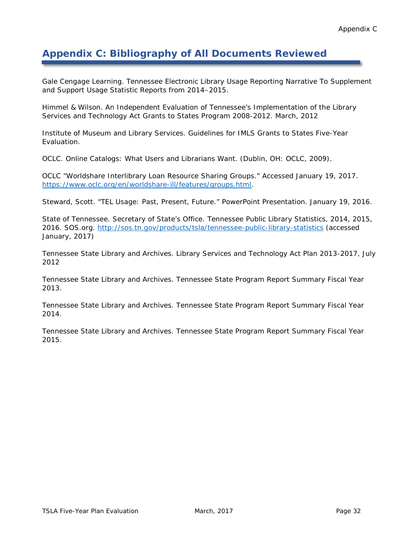# **Appendix C: Bibliography of All Documents Reviewed**

Gale Cengage Learning. *Tennessee Electronic Library Usage Reporting Narrative To Supplement and Support Usage Statistic Reports from 2014–2015.*

Himmel & Wilson. *An Independent Evaluation of Tennessee's Implementation of the Library Services and Technology Act Grants to States Program 2008-2012*. March, 2012

Institute of Museum and Library Services. *Guidelines for IMLS Grants to States Five-Year Evaluation*.

OCLC. *Online Catalogs: What Users and Librarians Want.* (Dublin, OH: OCLC, 2009).

OCLC "Worldshare Interlibrary Loan Resource Sharing Groups." Accessed January 19, 2017. [https://www.oclc.org/en/worldshare-ill/features/groups.html.](https://www.oclc.org/en/worldshare-ill/features/groups.html)

Steward, Scott. "TEL Usage: Past, Present, Future." PowerPoint Presentation. January 19, 2016.

State of Tennessee. Secretary of State's Office. *Tennessee Public Library Statistics, 2014, 2015, 2016*. SOS.org.<http://sos.tn.gov/products/tsla/tennessee-public-library-statistics> (accessed January, 2017)

Tennessee State Library and Archives. *Library Services and Technology Act Plan 2013-2017*, July 2012

Tennessee State Library and Archives. *Tennessee State Program Report Summary Fiscal Year 2013.*

Tennessee State Library and Archives. *Tennessee State Program Report Summary Fiscal Year 2014.*

Tennessee State Library and Archives. *Tennessee State Program Report Summary Fiscal Year 2015.*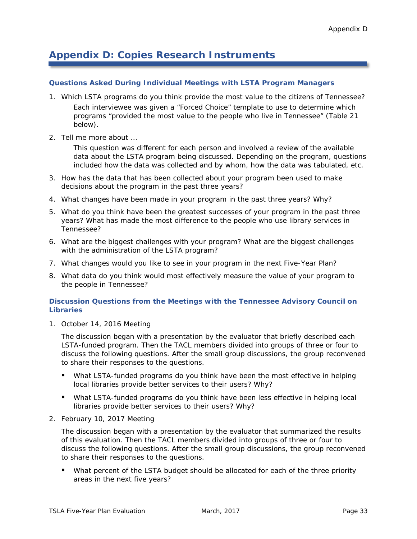### **Appendix D: Copies Research Instruments**

#### **Questions Asked During Individual Meetings with LSTA Program Managers**

- 1. Which LSTA programs do you think provide the most value to the citizens of Tennessee? Each interviewee was given a "Forced Choice" template to use to determine which programs "provided the most value to the people who live in Tennessee" (Table 21 below).
- 2. Tell me more about …

This question was different for each person and involved a review of the available data about the LSTA program being discussed. Depending on the program, questions included how the data was collected and by whom, how the data was tabulated, etc.

- 3. How has the data that has been collected about your program been used to make decisions about the program in the past three years?
- 4. What changes have been made in your program in the past three years? Why?
- 5. What do you think have been the greatest successes of your program in the past three years? What has made the most difference to the people who use library services in Tennessee?
- 6. What are the biggest challenges with your program? What are the biggest challenges with the administration of the LSTA program?
- 7. What changes would you like to see in your program in the next Five-Year Plan?
- 8. What data do you think would most effectively measure the value of your program to the people in Tennessee?

#### **Discussion Questions from the Meetings with the Tennessee Advisory Council on Libraries**

1. October 14, 2016 Meeting

The discussion began with a presentation by the evaluator that briefly described each LSTA-funded program. Then the TACL members divided into groups of three or four to discuss the following questions. After the small group discussions, the group reconvened to share their responses to the questions.

- What LSTA-funded programs do you think have been the most effective in helping local libraries provide better services to their users? Why?
- What LSTA-funded programs do you think have been less effective in helping local libraries provide better services to their users? Why?
- 2. February 10, 2017 Meeting

The discussion began with a presentation by the evaluator that summarized the results of this evaluation. Then the TACL members divided into groups of three or four to discuss the following questions. After the small group discussions, the group reconvened to share their responses to the questions.

**What percent of the LSTA budget should be allocated for each of the three priority** areas in the next five years?